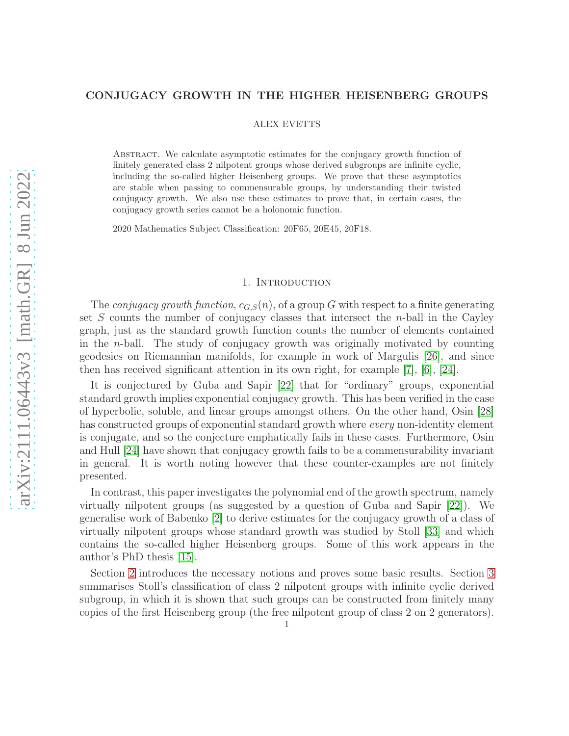#### CONJUGACY GROWTH IN THE HIGHER HEISENBERG GROUPS

ALEX EVETTS

Abstract. We calculate asymptotic estimates for the conjugacy growth function of finitely generated class 2 nilpotent groups whose derived subgroups are infinite cyclic, including the so-called higher Heisenberg groups. We prove that these asymptotics are stable when passing to commensurable groups, by understanding their twisted conjugacy growth. We also use these estimates to prove that, in certain cases, the conjugacy growth series cannot be a holonomic function.

2020 Mathematics Subject Classification: 20F65, 20E45, 20F18.

### 1. INTRODUCTION

The *conjugacy growth function*,  $c_{G,S}(n)$ , of a group G with respect to a finite generating set  $S$  counts the number of conjugacy classes that intersect the *n*-ball in the Cayley graph, just as the standard growth function counts the number of elements contained in the n-ball. The study of conjugacy growth was originally motivated by counting geodesics on Riemannian manifolds, for example in work of Margulis [\[26\]](#page-24-0), and since then has received significant attention in its own right, for example [\[7\]](#page-23-0), [\[6\]](#page-23-1), [\[24\]](#page-24-1).

It is conjectured by Guba and Sapir [\[22\]](#page-24-2) that for "ordinary" groups, exponential standard growth implies exponential conjugacy growth. This has been verified in the case of hyperbolic, soluble, and linear groups amongst others. On the other hand, Osin [\[28\]](#page-24-3) has constructed groups of exponential standard growth where *every* non-identity element is conjugate, and so the conjecture emphatically fails in these cases. Furthermore, Osin and Hull [\[24\]](#page-24-1) have shown that conjugacy growth fails to be a commensurability invariant in general. It is worth noting however that these counter-examples are not finitely presented.

In contrast, this paper investigates the polynomial end of the growth spectrum, namely virtually nilpotent groups (as suggested by a question of Guba and Sapir [\[22\]](#page-24-2)). We generalise work of Babenko [\[2\]](#page-23-2) to derive estimates for the conjugacy growth of a class of virtually nilpotent groups whose standard growth was studied by Stoll [\[33\]](#page-24-4) and which contains the so-called higher Heisenberg groups. Some of this work appears in the author's PhD thesis [\[15\]](#page-23-3).

Section [2](#page-2-0) introduces the necessary notions and proves some basic results. Section [3](#page-8-0) summarises Stoll's classification of class 2 nilpotent groups with infinite cyclic derived subgroup, in which it is shown that such groups can be constructed from finitely many copies of the first Heisenberg group (the free nilpotent group of class 2 on 2 generators).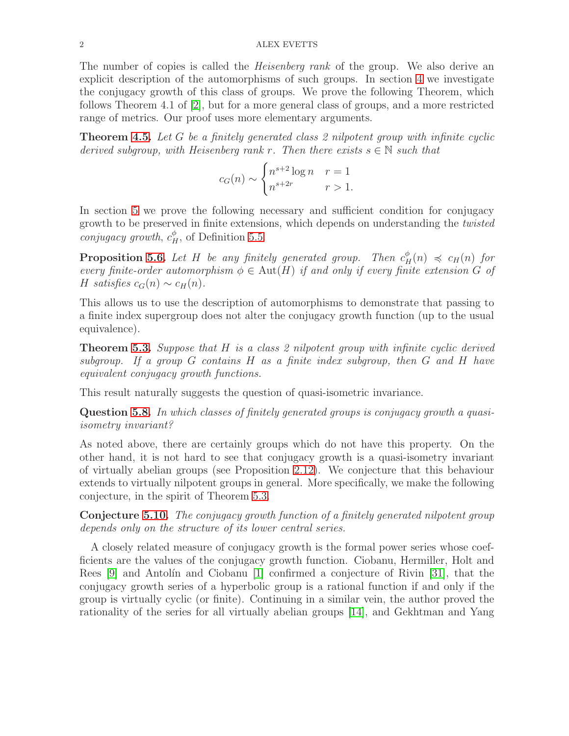The number of copies is called the *Heisenberg rank* of the group. We also derive an explicit description of the automorphisms of such groups. In section [4](#page-13-0) we investigate the conjugacy growth of this class of groups. We prove the following Theorem, which follows Theorem 4.1 of [\[2\]](#page-23-2), but for a more general class of groups, and a more restricted range of metrics. Our proof uses more elementary arguments.

**Theorem [4.5.](#page-16-0)** Let G be a finitely generated class 2 nilpotent group with infinite cyclic derived subgroup, with Heisenberg rank r. Then there exists  $s \in \mathbb{N}$  such that

$$
c_G(n) \sim \begin{cases} n^{s+2} \log n & r = 1\\ n^{s+2r} & r > 1. \end{cases}
$$

In section [5](#page-17-0) we prove the following necessary and sufficient condition for conjugacy growth to be preserved in finite extensions, which depends on understanding the twisted conjugacy growth,  $c_H^{\phi}$ , of Definition [5.5.](#page-18-0)

**Proposition [5.6.](#page-19-0)** Let H be any finitely generated group. Then  $c_H^{\phi}(n) \preccurlyeq c_H(n)$  for every finite-order automorphism  $\phi \in \text{Aut}(H)$  if and only if every finite extension G of H satisfies  $c_G(n) \sim c_H(n)$ .

This allows us to use the description of automorphisms to demonstrate that passing to a finite index supergroup does not alter the conjugacy growth function (up to the usual equivalence).

**Theorem [5.3.](#page-18-1)** Suppose that  $H$  is a class 2 nilpotent group with infinite cyclic derived subgroup. If a group G contains H as a finite index subgroup, then G and H have equivalent conjugacy growth functions.

This result naturally suggests the question of quasi-isometric invariance.

Question [5.8.](#page-22-0) In which classes of finitely generated groups is conjugacy growth a quasiisometry invariant?

As noted above, there are certainly groups which do not have this property. On the other hand, it is not hard to see that conjugacy growth is a quasi-isometry invariant of virtually abelian groups (see Proposition [2.12\)](#page-5-0). We conjecture that this behaviour extends to virtually nilpotent groups in general. More specifically, we make the following conjecture, in the spirit of Theorem [5.3.](#page-18-1)

Conjecture [5.10.](#page-22-1) The conjugacy growth function of a finitely generated nilpotent group depends only on the structure of its lower central series.

A closely related measure of conjugacy growth is the formal power series whose coefficients are the values of the conjugacy growth function. Ciobanu, Hermiller, Holt and Rees  $[9]$  and Antolín and Ciobanu  $[1]$  confirmed a conjecture of Rivin  $[31]$ , that the conjugacy growth series of a hyperbolic group is a rational function if and only if the group is virtually cyclic (or finite). Continuing in a similar vein, the author proved the rationality of the series for all virtually abelian groups [\[14\]](#page-23-6), and Gekhtman and Yang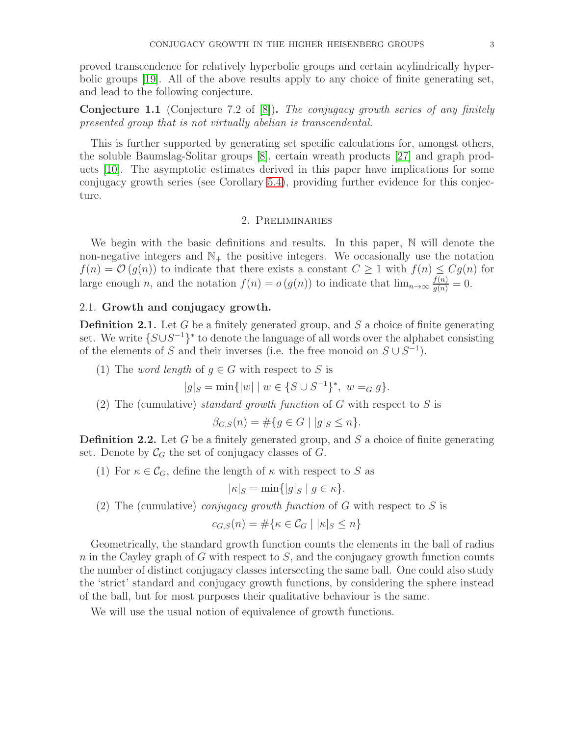proved transcendence for relatively hyperbolic groups and certain acylindrically hyperbolic groups [\[19\]](#page-24-6). All of the above results apply to any choice of finite generating set, and lead to the following conjecture.

<span id="page-2-1"></span>**Conjecture 1.1** (Conjecture 7.2 of  $[8]$ ). The conjugacy growth series of any finitely presented group that is not virtually abelian is transcendental.

This is further supported by generating set specific calculations for, amongst others, the soluble Baumslag-Solitar groups [\[8\]](#page-23-7), certain wreath products [\[27\]](#page-24-7) and graph products [\[10\]](#page-23-8). The asymptotic estimates derived in this paper have implications for some conjugacy growth series (see Corollary [5.4\)](#page-18-2), providing further evidence for this conjecture.

# 2. Preliminaries

<span id="page-2-0"></span>We begin with the basic definitions and results. In this paper, N will denote the non-negative integers and  $\mathbb{N}_+$  the positive integers. We occasionally use the notation  $f(n) = \mathcal{O}(g(n))$  to indicate that there exists a constant  $C \geq 1$  with  $f(n) \leq Cg(n)$  for large enough n, and the notation  $f(n) = o(g(n))$  to indicate that  $\lim_{n \to \infty} \frac{f(n)}{g(n)} = 0$ .

### 2.1. Growth and conjugacy growth.

<span id="page-2-2"></span>**Definition 2.1.** Let G be a finitely generated group, and S a choice of finite generating set. We write  $\{S \cup S^{-1}\}^*$  to denote the language of all words over the alphabet consisting of the elements of S and their inverses (i.e. the free monoid on  $S \cup S^{-1}$ ).

(1) The *word length* of  $g \in G$  with respect to S is

$$
|g|_S = \min\{|w| \mid w \in \{S \cup S^{-1}\}^*, w =_G g\}.
$$

(2) The (cumulative) *standard growth function* of G with respect to S is

$$
\beta_{G,S}(n) = \# \{ g \in G \mid |g|_S \le n \}.
$$

<span id="page-2-3"></span>**Definition 2.2.** Let G be a finitely generated group, and  $S$  a choice of finite generating set. Denote by  $\mathcal{C}_G$  the set of conjugacy classes of  $G$ .

(1) For  $\kappa \in \mathcal{C}_G$ , define the length of  $\kappa$  with respect to S as

$$
|\kappa|_S = \min\{|g|_S \mid g \in \kappa\}.
$$

(2) The (cumulative) *conjugacy growth function* of G with respect to S is

$$
c_{G,S}(n) = \#\{\kappa \in \mathcal{C}_G \mid |\kappa|_S \le n\}
$$

Geometrically, the standard growth function counts the elements in the ball of radius n in the Cayley graph of G with respect to S, and the conjugacy growth function counts the number of distinct conjugacy classes intersecting the same ball. One could also study the 'strict' standard and conjugacy growth functions, by considering the sphere instead of the ball, but for most purposes their qualitative behaviour is the same.

We will use the usual notion of equivalence of growth functions.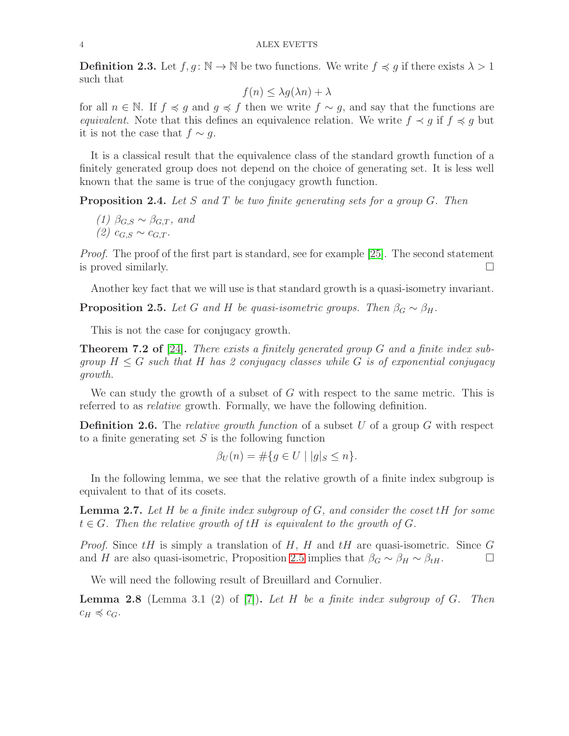**Definition 2.3.** Let  $f, g: \mathbb{N} \to \mathbb{N}$  be two functions. We write  $f \preccurlyeq g$  if there exists  $\lambda > 1$ such that

$$
f(n) \le \lambda g(\lambda n) + \lambda
$$

for all  $n \in \mathbb{N}$ . If  $f \preccurlyeq g$  and  $g \preccurlyeq f$  then we write  $f \sim g$ , and say that the functions are equivalent. Note that this defines an equivalence relation. We write  $f \prec g$  if  $f \preccurlyeq g$  but it is not the case that  $f \sim g$ .

It is a classical result that the equivalence class of the standard growth function of a finitely generated group does not depend on the choice of generating set. It is less well known that the same is true of the conjugacy growth function.

<span id="page-3-2"></span>**Proposition 2.4.** Let S and T be two finite generating sets for a group G. Then

(1) 
$$
\beta_{G,S} \sim \beta_{G,T}
$$
, and  
(2)  $c_{G,S} \sim c_{G,T}$ .

Proof. The proof of the first part is standard, see for example [\[25\]](#page-24-8). The second statement is proved similarly.  $\Box$ 

Another key fact that we will use is that standard growth is a quasi-isometry invariant.

<span id="page-3-0"></span>**Proposition 2.5.** Let G and H be quasi-isometric groups. Then  $\beta_G \sim \beta_H$ .

This is not the case for conjugacy growth.

**Theorem 7.2 of** [\[24\]](#page-24-1). There exists a finitely generated group G and a finite index subgroup  $H \leq G$  such that H has 2 conjugacy classes while G is of exponential conjugacy growth.

We can study the growth of a subset of  $G$  with respect to the same metric. This is referred to as relative growth. Formally, we have the following definition.

**Definition 2.6.** The *relative growth function* of a subset U of a group G with respect to a finite generating set  $S$  is the following function

$$
\beta_U(n) = \#\{g \in U \mid |g|_S \le n\}.
$$

In the following lemma, we see that the relative growth of a finite index subgroup is equivalent to that of its cosets.

<span id="page-3-3"></span>**Lemma 2.7.** Let H be a finite index subgroup of  $G$ , and consider the coset  $tH$  for some  $t \in G$ . Then the relative growth of tH is equivalent to the growth of G.

*Proof.* Since  $tH$  is simply a translation of H, H and  $tH$  are quasi-isometric. Since G and H are also quasi-isometric, Proposition [2.5](#page-3-0) implies that  $\beta_G \sim \beta_H \sim \beta_{tH}$ .

We will need the following result of Breuillard and Cornulier.

<span id="page-3-1"></span>**Lemma 2.8** (Lemma 3.1 (2) of [\[7\]](#page-23-0)). Let H be a finite index subgroup of G. Then  $c_H \preccurlyeq c_G$ .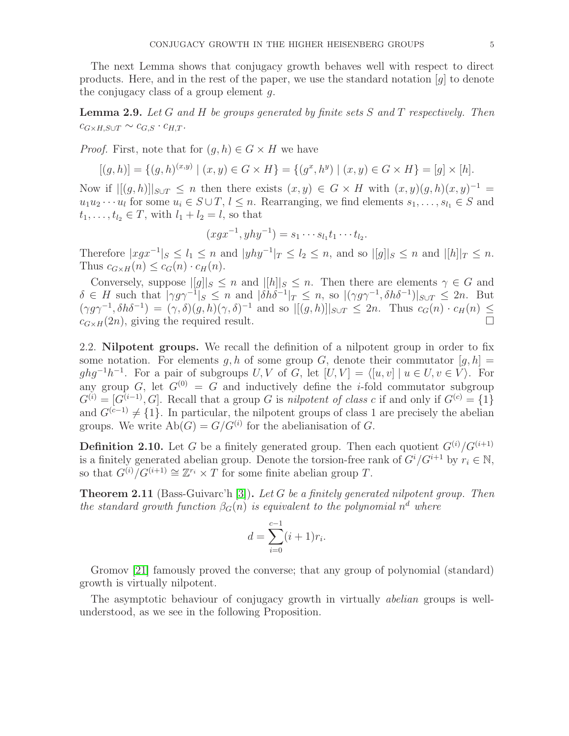The next Lemma shows that conjugacy growth behaves well with respect to direct products. Here, and in the rest of the paper, we use the standard notation  $[g]$  to denote the conjugacy class of a group element  $q$ .

<span id="page-4-1"></span>**Lemma 2.9.** Let G and H be groups generated by finite sets S and T respectively. Then  $c_{G\times H,S\cup T} \sim c_{G,S} \cdot c_{H,T}.$ 

*Proof.* First, note that for  $(a, h) \in G \times H$  we have

$$
[(g,h)] = \{(g,h)^{(x,y)} \mid (x,y) \in G \times H\} = \{(g^x,h^y) \mid (x,y) \in G \times H\} = [g] \times [h].
$$

Now if  $|[(g,h)]|_{S\cup T} \leq n$  then there exists  $(x,y) \in G \times H$  with  $(x,y)(g,h)(x,y)^{-1} =$  $u_1u_2\cdots u_l$  for some  $u_i \in S\cup T$ ,  $l \leq n$ . Rearranging, we find elements  $s_1,\ldots,s_{l_1} \in S$  and  $t_1, \ldots, t_{l_2} \in T$ , with  $l_1 + l_2 = l$ , so that

$$
(xgx^{-1}, yhy^{-1}) = s_1 \cdots s_{l_1} t_1 \cdots t_{l_2}.
$$

Therefore  $|xgx^{-1}|_S \leq l_1 \leq n$  and  $|yhy^{-1}|_T \leq l_2 \leq n$ , and so  $|[g]|_S \leq n$  and  $|[h]|_T \leq n$ . Thus  $c_{G\times H}(n) \leq c_G(n) \cdot c_H(n)$ .

Conversely, suppose  $||g||_S \leq n$  and  $||h||_S \leq n$ . Then there are elements  $\gamma \in G$  and  $\delta \in H$  such that  $|\gamma g \gamma^{-1}|_S \leq n$  and  $|\delta h \delta^{-1}|_T \leq n$ , so  $|(\gamma g \gamma^{-1}, \delta h \delta^{-1})|_{S \cup T} \leq 2n$ . But  $(\gamma g \gamma^{-1}, \delta h \delta^{-1}) = (\gamma, \delta)(g, h)(\gamma, \delta)^{-1}$  and so  $\|g, h\|_{S \cup T} \leq 2n$ . Thus  $c_G(n) \cdot c_H(n) \leq$  $c_{G\times H}(2n)$ , giving the required result.

2.2. Nilpotent groups. We recall the definition of a nilpotent group in order to fix some notation. For elements g, h of some group G, denote their commutator  $[g, h] =$  $ghg^{-1}h^{-1}$ . For a pair of subgroups  $U, V$  of  $G$ , let  $[U, V] = \langle [u, v] | u \in U, v \in V \rangle$ . For any group G, let  $G^{(0)} = G$  and inductively define the *i*-fold commutator subgroup  $G^{(i)} = [G^{(i-1)}, G]$ . Recall that a group G is nilpotent of class c if and only if  $G^{(c)} = \{1\}$ and  $G^{(c-1)} \neq \{1\}$ . In particular, the nilpotent groups of class 1 are precisely the abelian groups. We write  $Ab(G) = G/G^{(i)}$  for the abelianisation of G.

**Definition 2.10.** Let G be a finitely generated group. Then each quotient  $G^{(i)}/G^{(i+1)}$ is a finitely generated abelian group. Denote the torsion-free rank of  $G^{i}/G^{i+1}$  by  $r_i \in \mathbb{N}$ , so that  $G^{(i)}/G^{(i+1)} \cong \mathbb{Z}^{r_i} \times T$  for some finite abelian group T.

<span id="page-4-0"></span>**Theorem 2.11** (Bass-Guivarc'h [\[3\]](#page-23-9)). Let G be a finitely generated nilpotent group. Then the standard growth function  $\beta_G(n)$  is equivalent to the polynomial  $n^d$  where

$$
d = \sum_{i=0}^{c-1} (i+1)r_i.
$$

Gromov [\[21\]](#page-24-9) famously proved the converse; that any group of polynomial (standard) growth is virtually nilpotent.

The asymptotic behaviour of conjugacy growth in virtually *abelian* groups is wellunderstood, as we see in the following Proposition.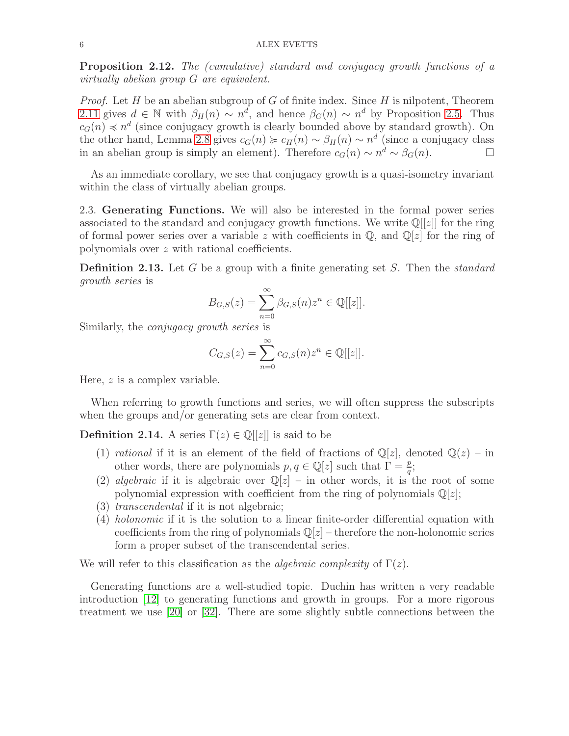<span id="page-5-0"></span>Proposition 2.12. The (cumulative) standard and conjugacy growth functions of a virtually abelian group G are equivalent.

*Proof.* Let  $H$  be an abelian subgroup of  $G$  of finite index. Since  $H$  is nilpotent, Theorem [2.11](#page-4-0) gives  $d \in \mathbb{N}$  with  $\beta_H(n) \sim n^d$ , and hence  $\beta_G(n) \sim n^d$  by Proposition [2.5.](#page-3-0) Thus  $c_G(n) \preccurlyeq n^d$  (since conjugacy growth is clearly bounded above by standard growth). On the other hand, Lemma [2.8](#page-3-1) gives  $c_G(n) \succcurlyeq c_H(n) \sim \beta_H(n) \sim n^d$  (since a conjugacy class in an abelian group is simply an element). Therefore  $c_G(n) \sim n^d \sim \beta_G(n)$ .

As an immediate corollary, we see that conjugacy growth is a quasi-isometry invariant within the class of virtually abelian groups.

2.3. Generating Functions. We will also be interested in the formal power series associated to the standard and conjugacy growth functions. We write  $\mathbb{Q}[[z]]$  for the ring of formal power series over a variable z with coefficients in  $\mathbb{Q}$ , and  $\mathbb{Q}[z]$  for the ring of polynomials over z with rational coefficients.

**Definition 2.13.** Let G be a group with a finite generating set S. Then the *standard* growth series is

$$
B_{G,S}(z) = \sum_{n=0}^{\infty} \beta_{G,S}(n) z^n \in \mathbb{Q}[[z]].
$$

Similarly, the conjugacy growth series is

$$
C_{G,S}(z) = \sum_{n=0}^{\infty} c_{G,S}(n) z^n \in \mathbb{Q}[[z]].
$$

Here, z is a complex variable.

When referring to growth functions and series, we will often suppress the subscripts when the groups and/or generating sets are clear from context.

**Definition 2.14.** A series  $\Gamma(z) \in \mathbb{Q}[[z]]$  is said to be

- (1) rational if it is an element of the field of fractions of  $\mathbb{Q}[z]$ , denoted  $\mathbb{Q}(z)$  in other words, there are polynomials  $p, q \in \mathbb{Q}[z]$  such that  $\Gamma = \frac{p}{q}$ ;
- (2) algebraic if it is algebraic over  $\mathbb{Q}[z]$  in other words, it is the root of some polynomial expression with coefficient from the ring of polynomials  $\mathbb{Q}[z]$ ;
- (3) transcendental if it is not algebraic;
- (4) holonomic if it is the solution to a linear finite-order differential equation with coefficients from the ring of polynomials  $\mathbb{Q}[z]$  – therefore the non-holonomic series form a proper subset of the transcendental series.

We will refer to this classification as the *algebraic complexity* of  $\Gamma(z)$ .

Generating functions are a well-studied topic. Duchin has written a very readable introduction [\[12\]](#page-23-10) to generating functions and growth in groups. For a more rigorous treatment we use [\[20\]](#page-24-10) or [\[32\]](#page-24-11). There are some slightly subtle connections between the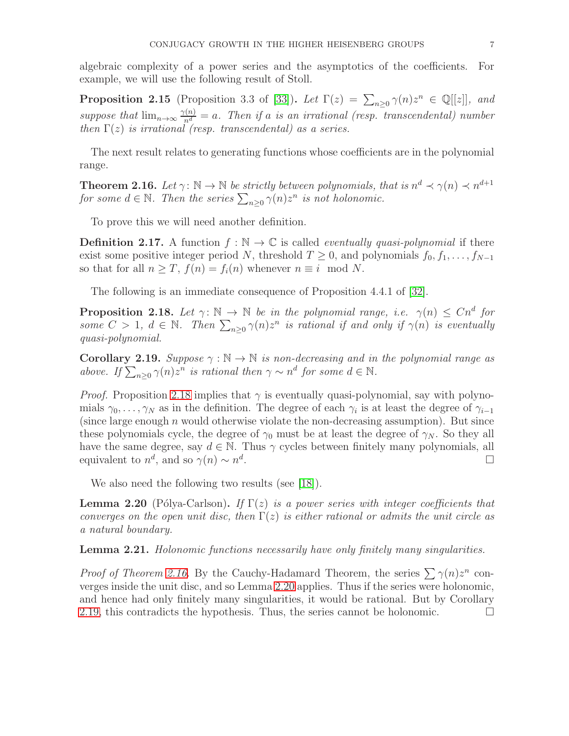algebraic complexity of a power series and the asymptotics of the coefficients. For example, we will use the following result of Stoll.

<span id="page-6-4"></span>**Proposition 2.15** (Proposition 3.3 of [\[33\]](#page-24-4)). Let  $\Gamma(z) = \sum_{n\geq 0} \gamma(n)z^n \in \mathbb{Q}[[z]]$ , and suppose that  $\lim_{n\to\infty} \frac{\gamma(n)}{n^d} = a$ . Then if a is an irrational (resp. transcendental) number then  $\Gamma(z)$  is irrational (resp. transcendental) as a series.

The next result relates to generating functions whose coefficients are in the polynomial range.

<span id="page-6-1"></span>**Theorem 2.16.** Let  $\gamma: \mathbb{N} \to \mathbb{N}$  be strictly between polynomials, that is  $n^d \prec \gamma(n) \prec n^{d+1}$ for some  $d \in \mathbb{N}$ . Then the series  $\sum_{n\geq 0} \gamma(n)z^n$  is not holonomic.

To prove this we will need another definition.

**Definition 2.17.** A function  $f : \mathbb{N} \to \mathbb{C}$  is called *eventually quasi-polynomial* if there exist some positive integer period N, threshold  $T \geq 0$ , and polynomials  $f_0, f_1, \ldots, f_{N-1}$ so that for all  $n \geq T$ ,  $f(n) = f_i(n)$  whenever  $n \equiv i \mod N$ .

The following is an immediate consequence of Proposition 4.4.1 of [\[32\]](#page-24-11).

<span id="page-6-0"></span>**Proposition 2.18.** Let  $\gamma: \mathbb{N} \to \mathbb{N}$  be in the polynomial range, i.e.  $\gamma(n) \leq C n^d$  for some  $C > 1$ ,  $d \in \mathbb{N}$ . Then  $\sum_{n\geq 0} \gamma(n)z^n$  is rational if and only if  $\gamma(n)$  is eventually quasi-polynomial.

<span id="page-6-3"></span>Corollary 2.19. Suppose  $\gamma : \mathbb{N} \to \mathbb{N}$  is non-decreasing and in the polynomial range as above. If  $\sum_{n\geq 0} \gamma(n) z^n$  is rational then  $\gamma \sim n^d$  for some  $d \in \mathbb{N}$ .

*Proof.* Proposition [2.18](#page-6-0) implies that  $\gamma$  is eventually quasi-polynomial, say with polynomials  $\gamma_0, \ldots, \gamma_N$  as in the definition. The degree of each  $\gamma_i$  is at least the degree of  $\gamma_{i-1}$ (since large enough  $n$  would otherwise violate the non-decreasing assumption). But since these polynomials cycle, the degree of  $\gamma_0$  must be at least the degree of  $\gamma_N$ . So they all have the same degree, say  $d \in \mathbb{N}$ . Thus  $\gamma$  cycles between finitely many polynomials, all equivalent to  $n^d$ , and so  $\gamma(n) \sim n^d$ .

We also need the following two results (see [\[18\]](#page-24-12)).

<span id="page-6-2"></span>**Lemma 2.20** (Pólya-Carlson). If  $\Gamma(z)$  is a power series with integer coefficients that converges on the open unit disc, then  $\Gamma(z)$  is either rational or admits the unit circle as a natural boundary.

Lemma 2.21. Holonomic functions necessarily have only finitely many singularities.

*Proof of Theorem [2.16.](#page-6-1)* By the Cauchy-Hadamard Theorem, the series  $\sum \gamma(n)z^n$  converges inside the unit disc, and so Lemma [2.20](#page-6-2) applies. Thus if the series were holonomic, and hence had only finitely many singularities, it would be rational. But by Corollary [2.19,](#page-6-3) this contradicts the hypothesis. Thus, the series cannot be holonomic.  $\Box$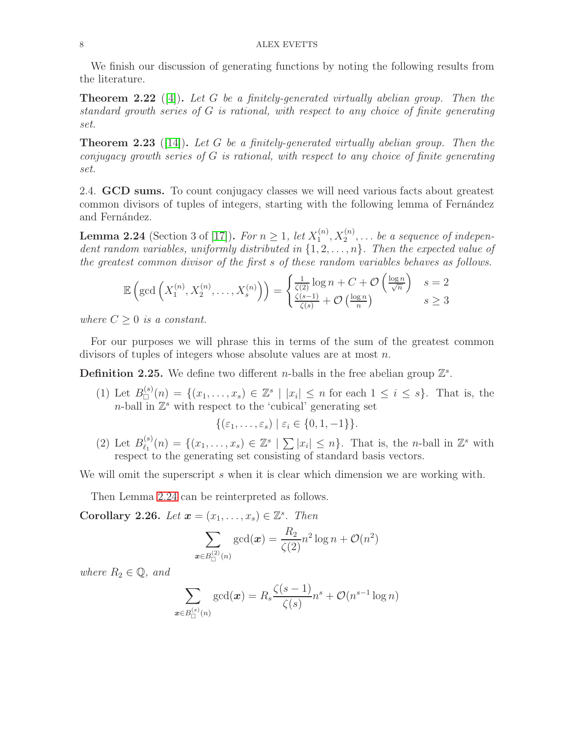We finish our discussion of generating functions by noting the following results from the literature.

<span id="page-7-1"></span>**Theorem 2.22** ([\[4\]](#page-23-11)). Let G be a finitely-generated virtually abelian group. Then the standard growth series of G is rational, with respect to any choice of finite generating set.

**Theorem 2.23** ([\[14\]](#page-23-6)). Let G be a finitely-generated virtually abelian group. Then the conjugacy growth series of G is rational, with respect to any choice of finite generating set.

2.4. **GCD sums.** To count conjugacy classes we will need various facts about greatest common divisors of tuples of integers, starting with the following lemma of Fernández and Fernández.

<span id="page-7-0"></span>**Lemma 2.24** (Section 3 of [\[17\]](#page-24-13)). For  $n \geq 1$ , let  $X_1^{(n)}$  $a_1^{(n)}, X_2^{(n)}, \ldots$  be a sequence of independent random variables, uniformly distributed in  $\{1, 2, \ldots, n\}$ . Then the expected value of the greatest common divisor of the first s of these random variables behaves as follows.

$$
\mathbb{E}\left(\gcd\left(X_1^{(n)}, X_2^{(n)}, \dots, X_s^{(n)}\right)\right) = \begin{cases} \frac{1}{\zeta(2)}\log n + C + \mathcal{O}\left(\frac{\log n}{\sqrt{n}}\right) & s = 2\\ \frac{\zeta(s-1)}{\zeta(s)} + \mathcal{O}\left(\frac{\log n}{n}\right) & s \ge 3 \end{cases}
$$

where  $C > 0$  is a constant.

For our purposes we will phrase this in terms of the sum of the greatest common divisors of tuples of integers whose absolute values are at most n.

**Definition 2.25.** We define two different *n*-balls in the free abelian group  $\mathbb{Z}^s$ .

(1) Let  $B_{\square}^{(s)}$  $\mathbb{Z}^{(s)}(n) = \{(x_1,\ldots,x_s) \in \mathbb{Z}^s \mid |x_i| \leq n \text{ for each } 1 \leq i \leq s\}.$  That is, the  $n$ -ball in  $\mathbb{Z}^s$  with respect to the 'cubical' generating set

$$
\{(\varepsilon_1,\ldots,\varepsilon_s)\mid \varepsilon_i\in\{0,1,-1\}\}.
$$

(2) Let  $B_{\ell_1}^{(s)}$  $\ell_1^{(s)}(n) = \{(x_1,\ldots,x_s) \in \mathbb{Z}^s \mid \sum |x_i| \leq n\}.$  That is, the *n*-ball in  $\mathbb{Z}^s$  with respect to the generating set consisting of standard basis vectors.

We will omit the superscript s when it is clear which dimension we are working with.

Then Lemma [2.24](#page-7-0) can be reinterpreted as follows.

<span id="page-7-2"></span>Corollary 2.26. Let  $\mathbf{x} = (x_1, \ldots, x_s) \in \mathbb{Z}^s$ . Then

$$
\sum_{\boldsymbol{x}\in B_{\square}^{(2)}(n)}\gcd(\boldsymbol{x})=\frac{R_2}{\zeta(2)}n^2\log n+\mathcal{O}(n^2)
$$

where  $R_2 \in \mathbb{Q}$ , and

$$
\sum_{\boldsymbol{x}\in B_{\square}^{(s)}(n)}\gcd(\boldsymbol{x})=R_s\frac{\zeta(s-1)}{\zeta(s)}n^s+\mathcal{O}(n^{s-1}\log n)
$$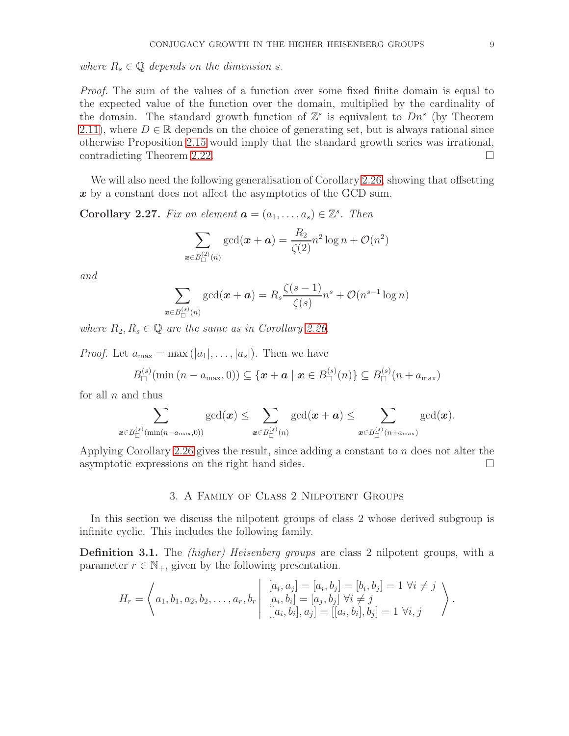where  $R_s \in \mathbb{Q}$  depends on the dimension s.

Proof. The sum of the values of a function over some fixed finite domain is equal to the expected value of the function over the domain, multiplied by the cardinality of the domain. The standard growth function of  $\mathbb{Z}^s$  is equivalent to  $Dn^s$  (by Theorem [2.11\)](#page-4-0), where  $D \in \mathbb{R}$  depends on the choice of generating set, but is always rational since otherwise Proposition [2.15](#page-6-4) would imply that the standard growth series was irrational, contradicting Theorem [2.22.](#page-7-1)

We will also need the following generalisation of Corollary [2.26,](#page-7-2) showing that offsetting  $x$  by a constant does not affect the asymptotics of the GCD sum.

<span id="page-8-1"></span>**Corollary 2.27.** Fix an element  $\mathbf{a} = (a_1, \ldots, a_s) \in \mathbb{Z}^s$ . Then

$$
\sum_{\boldsymbol{x}\in B_{\square}^{(2)}(n)}\gcd(\boldsymbol{x}+\boldsymbol{a})=\frac{R_2}{\zeta(2)}n^2\log n+\mathcal{O}(n^2)
$$

and

$$
\sum_{\boldsymbol{x}\in B_{\square}^{(s)}(n)}\gcd(\boldsymbol{x}+\boldsymbol{a})=R_s\frac{\zeta(s-1)}{\zeta(s)}n^s+\mathcal{O}(n^{s-1}\log n)
$$

where  $R_2, R_s \in \mathbb{Q}$  are the same as in Corollary [2.26.](#page-7-2)

*Proof.* Let  $a_{\text{max}} = \max(|a_1|, \ldots, |a_s|)$ . Then we have

$$
B_{\Box}^{(s)}(\min (n-a_{\max},0)) \subseteq \{ \boldsymbol{x} + \boldsymbol{a} \mid \boldsymbol{x} \in B_{\Box}^{(s)}(n) \} \subseteq B_{\Box}^{(s)}(n+a_{\max})
$$

for all  $n$  and thus

$$
\sum_{\boldsymbol{x}\in B_{\square}^{(s)}(\min(n-a_{\max},0))}\gcd(\boldsymbol{x})\leq \sum_{\boldsymbol{x}\in B_{\square}^{(s)}(n)}\gcd(\boldsymbol{x}+\boldsymbol{a})\leq \sum_{\boldsymbol{x}\in B_{\square}^{(s)}(n+a_{\max})}\gcd(\boldsymbol{x}).
$$

<span id="page-8-0"></span>Applying Corollary [2.26](#page-7-2) gives the result, since adding a constant to n does not alter the asymptotic expressions on the right hand sides.

### 3. A Family of Class 2 Nilpotent Groups

In this section we discuss the nilpotent groups of class 2 whose derived subgroup is infinite cyclic. This includes the following family.

Definition 3.1. The *(higher) Heisenberg groups* are class 2 nilpotent groups, with a parameter  $r \in \mathbb{N}_+$ , given by the following presentation.

$$
H_r = \left\langle a_1, b_1, a_2, b_2, \dots, a_r, b_r \middle| \begin{array}{l} [a_i, a_j] = [a_i, b_j] = [b_i, b_j] = 1 \; \forall i \neq j \\ [a_i, b_i] = [a_j, b_j] \; \forall i \neq j \\ [[a_i, b_i], a_j] = [[a_i, b_i], b_j] = 1 \; \forall i, j \end{array} \right\rangle.
$$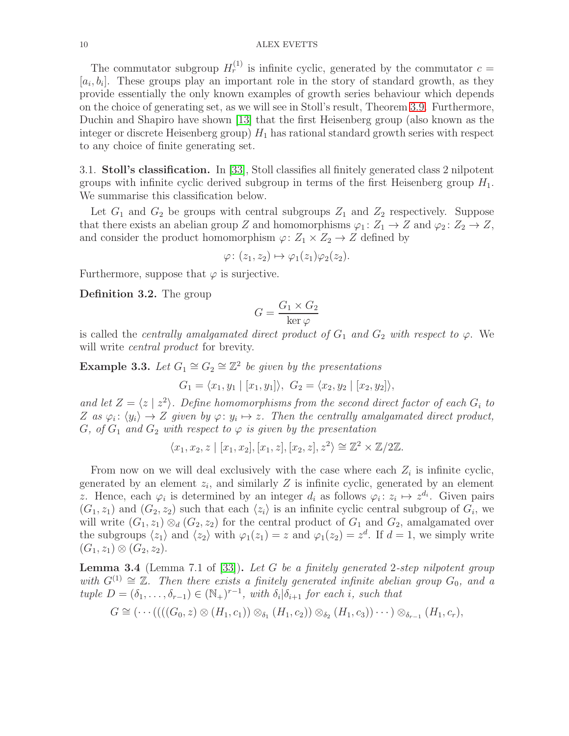The commutator subgroup  $H_r^{(1)}$  is infinite cyclic, generated by the commutator  $c =$  $[a_i, b_i]$ . These groups play an important role in the story of standard growth, as they provide essentially the only known examples of growth series behaviour which depends on the choice of generating set, as we will see in Stoll's result, Theorem [3.9.](#page-10-0) Furthermore, Duchin and Shapiro have shown [\[13\]](#page-23-12) that the first Heisenberg group (also known as the integer or discrete Heisenberg group)  $H_1$  has rational standard growth series with respect to any choice of finite generating set.

3.1. Stoll's classification. In [\[33\]](#page-24-4), Stoll classifies all finitely generated class 2 nilpotent groups with infinite cyclic derived subgroup in terms of the first Heisenberg group  $H_1$ . We summarise this classification below.

Let  $G_1$  and  $G_2$  be groups with central subgroups  $Z_1$  and  $Z_2$  respectively. Suppose that there exists an abelian group Z and homomorphisms  $\varphi_1: Z_1 \to Z$  and  $\varphi_2: Z_2 \to Z$ , and consider the product homomorphism  $\varphi: Z_1 \times Z_2 \to Z$  defined by

$$
\varphi\colon (z_1,z_2)\mapsto \varphi_1(z_1)\varphi_2(z_2).
$$

Furthermore, suppose that  $\varphi$  is surjective.

Definition 3.2. The group

$$
G = \frac{G_1 \times G_2}{\ker \varphi}
$$

is called the *centrally amalgamated direct product of*  $G_1$  and  $G_2$  with respect to  $\varphi$ . We will write *central product* for brevity.

**Example 3.3.** Let  $G_1 \cong G_2 \cong \mathbb{Z}^2$  be given by the presentations

$$
G_1 = \langle x_1, y_1 | [x_1, y_1] \rangle, G_2 = \langle x_2, y_2 | [x_2, y_2] \rangle,
$$

and let  $Z = \langle z | z^2 \rangle$ . Define homomorphisms from the second direct factor of each  $G_i$  to Z as  $\varphi_i: \langle y_i \rangle \to Z$  given by  $\varphi: y_i \mapsto z$ . Then the centrally amalgamated direct product, G, of  $G_1$  and  $G_2$  with respect to  $\varphi$  is given by the presentation

$$
\langle x_1, x_2, z \mid [x_1, x_2], [x_1, z], [x_2, z], z^2 \rangle \cong \mathbb{Z}^2 \times \mathbb{Z}/2\mathbb{Z}.
$$

From now on we will deal exclusively with the case where each  $Z_i$  is infinite cyclic, generated by an element  $z_i$ , and similarly Z is infinite cyclic, generated by an element z. Hence, each  $\varphi_i$  is determined by an integer  $d_i$  as follows  $\varphi_i: z_i \mapsto z^{d_i}$ . Given pairs  $(G_1, z_1)$  and  $(G_2, z_2)$  such that each  $\langle z_i \rangle$  is an infinite cyclic central subgroup of  $G_i$ , we will write  $(G_1, z_1) \otimes_d (G_2, z_2)$  for the central product of  $G_1$  and  $G_2$ , amalgamated over the subgroups  $\langle z_1 \rangle$  and  $\langle z_2 \rangle$  with  $\varphi_1(z_1) = z$  and  $\varphi_1(z_2) = z^d$ . If  $d = 1$ , we simply write  $(G_1, z_1) \otimes (G_2, z_2).$ 

<span id="page-9-0"></span>**Lemma 3.4** (Lemma 7.1 of [\[33\]](#page-24-4)). Let G be a finitely generated 2-step nilpotent group with  $G^{(1)} \cong \mathbb{Z}$ . Then there exists a finitely generated infinite abelian group  $G_0$ , and a tuple  $D = (\delta_1, \ldots, \delta_{r-1}) \in (\mathbb{N}_+)^{r-1}$ , with  $\delta_i | \delta_{i+1}$  for each i, such that

$$
G \cong (\cdots ((( (G_0, z) \otimes (H_1, c_1)) \otimes_{\delta_1} (H_1, c_2)) \otimes_{\delta_2} (H_1, c_3)) \cdots ) \otimes_{\delta_{r-1}} (H_1, c_r),
$$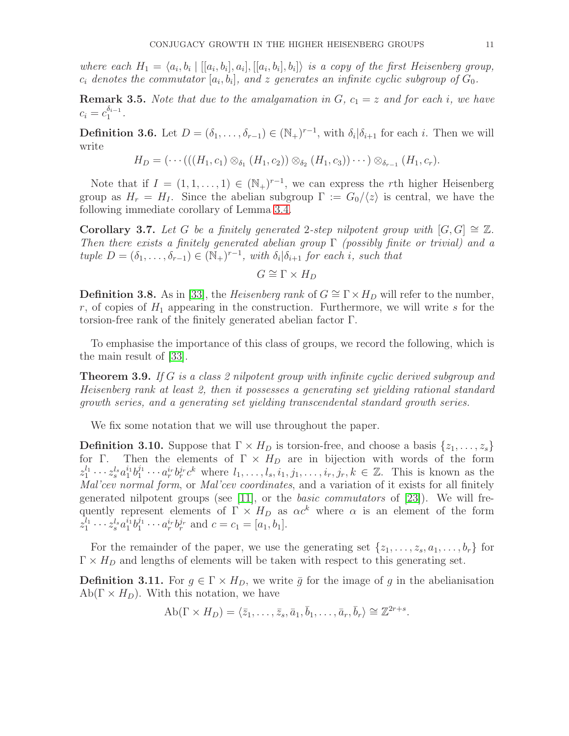where each  $H_1 = \langle a_i, b_i | [[a_i, b_i], a_i], [[a_i, b_i], b_i] \rangle$  is a copy of the first Heisenberg group,  $c_i$  denotes the commutator  $[a_i, b_i]$ , and z generates an infinite cyclic subgroup of  $G_0$ .

**Remark 3.5.** Note that due to the amalgamation in  $G$ ,  $c_1 = z$  and for each i, we have  $c_i = c_1^{\delta_{i-1}}$  $\frac{a_{i-1}}{1}$ .

<span id="page-10-1"></span>**Definition 3.6.** Let  $D = (\delta_1, \ldots, \delta_{r-1}) \in (\mathbb{N}_+)^{r-1}$ , with  $\delta_i | \delta_{i+1}$  for each i. Then we will write

$$
H_D = (\cdots (((H_1, c_1) \otimes_{\delta_1} (H_1, c_2)) \otimes_{\delta_2} (H_1, c_3)) \cdots ) \otimes_{\delta_{r-1}} (H_1, c_r).
$$

Note that if  $I = (1, 1, \ldots, 1) \in (\mathbb{N}_{+})^{r-1}$ , we can express the rth higher Heisenberg group as  $H_r = H_l$ . Since the abelian subgroup  $\Gamma := G_0/\langle z \rangle$  is central, we have the following immediate corollary of Lemma [3.4.](#page-9-0)

Corollary 3.7. Let G be a finitely generated 2-step nilpotent group with  $[G, G] \cong \mathbb{Z}$ . Then there exists a finitely generated abelian group  $\Gamma$  (possibly finite or trivial) and a tuple  $D = (\delta_1, \ldots, \delta_{r-1}) \in (\mathbb{N}_+)^{r-1}$ , with  $\delta_i | \delta_{i+1}$  for each i, such that

 $G \cong \Gamma \times H_D$ 

**Definition 3.8.** As in [\[33\]](#page-24-4), the *Heisenberg rank* of  $G \cong \Gamma \times H_D$  will refer to the number, r, of copies of  $H_1$  appearing in the construction. Furthermore, we will write s for the torsion-free rank of the finitely generated abelian factor Γ.

To emphasise the importance of this class of groups, we record the following, which is the main result of [\[33\]](#page-24-4).

<span id="page-10-0"></span>Theorem 3.9. If G is a class 2 nilpotent group with infinite cyclic derived subgroup and Heisenberg rank at least 2, then it possesses a generating set yielding rational standard growth series, and a generating set yielding transcendental standard growth series.

We fix some notation that we will use throughout the paper.

<span id="page-10-2"></span>**Definition 3.10.** Suppose that  $\Gamma \times H_D$  is torsion-free, and choose a basis  $\{z_1, \ldots, z_s\}$ for Γ. Then the elements of  $\Gamma \times H_D$  are in bijection with words of the form  $z_1^{l_1} \cdots z_s^{l_s} a_1^{i_1} b_1^{j_1}$  $i_1^{j_1}\cdots a_r^{i_r}b_r^{j_r}c^k$  where  $l_1,\ldots,l_s,i_1,j_1,\ldots,i_r,j_r,k\in\mathbb{Z}$ . This is known as the Mal'cev normal form, or Mal'cev coordinates, and a variation of it exists for all finitely generated nilpotent groups (see [\[11\]](#page-23-13), or the *basic commutators* of [\[23\]](#page-24-14)). We will frequently represent elements of  $\Gamma \times H_D$  as  $\alpha c^k$  where  $\alpha$  is an element of the form  $z_1^{l_1} \cdots z_s^{l_s} a_1^{i_1} b_1^{j_1} \cdots a_r^{i_r} b_r^{j_r}$  and  $c = c_1 = [a_1, b_1]$ .

For the remainder of the paper, we use the generating set  $\{z_1, \ldots, z_s, a_1, \ldots, b_r\}$  for  $\Gamma \times H_D$  and lengths of elements will be taken with respect to this generating set.

**Definition 3.11.** For  $g \in \Gamma \times H_D$ , we write  $\bar{g}$  for the image of g in the abelianisation  $Ab(\Gamma \times H_D)$ . With this notation, we have

$$
\mathrm{Ab}(\Gamma \times H_D) = \langle \bar{z}_1, \ldots, \bar{z}_s, \bar{a}_1, \bar{b}_1, \ldots, \bar{a}_r, \bar{b}_r \rangle \cong \mathbb{Z}^{2r+s}.
$$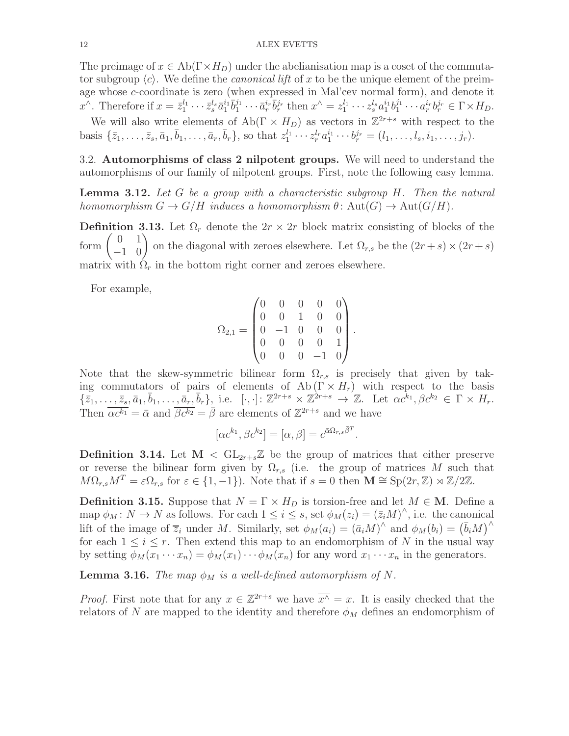The preimage of  $x \in Ab(\Gamma \times H_D)$  under the abelianisation map is a coset of the commutator subgroup  $\langle c \rangle$ . We define the *canonical lift* of x to be the unique element of the preimage whose c-coordinate is zero (when expressed in Mal'cev normal form), and denote it  $x^{\wedge}$ . Therefore if  $x = \bar{z}_1^{l_1} \cdots \bar{z}_s^{l_s} \bar{a}_1^{i_1} \bar{b}_1^{j_1}$  $i_1^{j_1} \cdots \bar{a}_r^{i_r} \bar{b}_r^{j_r}$  then  $x^{\wedge} = z_1^{l_1} \cdots z_s^{l_s} a_1^{i_1} b_1^{j_1}$  $a_r^{j_1} \cdots a_r^{i_r} b_r^{j_r} \in \Gamma \times H_D.$ We will also write elements of  $Ab(\Gamma \times H_D)$  as vectors in  $\mathbb{Z}^{2r+s}$  with respect to the

basis  $\{\bar{z}_1, \ldots, \bar{z}_s, \bar{a}_1, \bar{b}_1, \ldots, \bar{a}_r, \bar{b}_r\}$ , so that  $z_1^{l_1} \cdots z_r^{l_r} a_1^{i_1} \cdots b_r^{j_r} = (l_1, \ldots, l_s, i_1, \ldots, j_r)$ .

3.2. Automorphisms of class 2 nilpotent groups. We will need to understand the automorphisms of our family of nilpotent groups. First, note the following easy lemma.

<span id="page-11-0"></span>**Lemma 3.12.** Let G be a group with a characteristic subgroup  $H$ . Then the natural homomorphism  $G \to G/H$  induces a homomorphism  $\theta \colon \text{Aut}(G) \to \text{Aut}(G/H)$ .

**Definition 3.13.** Let  $\Omega_r$  denote the  $2r \times 2r$  block matrix consisting of blocks of the form  $\begin{pmatrix} 0 & 1 \\ -1 & 0 \end{pmatrix}$  on the diagonal with zeroes elsewhere. Let  $\Omega_{r,s}$  be the  $(2r + s) \times (2r + s)$ matrix with  $\Omega_r$  in the bottom right corner and zeroes elsewhere.

For example,

$$
\Omega_{2,1} = \begin{pmatrix} 0 & 0 & 0 & 0 & 0 \\ 0 & 0 & 1 & 0 & 0 \\ 0 & -1 & 0 & 0 & 0 \\ 0 & 0 & 0 & 0 & 1 \\ 0 & 0 & 0 & -1 & 0 \end{pmatrix}
$$

.

Note that the skew-symmetric bilinear form  $\Omega_{r,s}$  is precisely that given by taking commutators of pairs of elements of  $\mathrm{Ab}(\Gamma \times H_r)$  with respect to the basis  $\{\bar{z}_1,\ldots,\bar{z}_s,\bar{a}_1,\bar{b}_1,\ldots,\bar{a}_r,\bar{b}_r\},\$ i.e.  $[\cdot,\cdot]:\mathbb{Z}^{2r+s}\times\mathbb{Z}^{2r+s}\to\mathbb{Z}$ . Let  $\alpha c^{\bar{k}_1},\beta c^{\bar{k}_2}\in\Gamma\times H_r$ . Then  $\overline{\alpha c^{k_1}} = \overline{\alpha}$  and  $\overline{\beta c^{k_2}} = \overline{\beta}$  are elements of  $\mathbb{Z}^{2r+s}$  and we have

$$
[\alpha c^{k_1}, \beta c^{k_2}] = [\alpha, \beta] = c^{\bar{\alpha}\Omega_{r,s}\bar{\beta}^T}.
$$

**Definition 3.14.** Let  $M < GL_{2r+s}\mathbb{Z}$  be the group of matrices that either preserve or reverse the bilinear form given by  $\Omega_{r,s}$  (i.e. the group of matrices M such that  $M\Omega_{r,s}M^T = \varepsilon \Omega_{r,s}$  for  $\varepsilon \in \{1, -1\}$ ). Note that if  $s = 0$  then  $\mathbf{M} \cong \text{Sp}(2r, \mathbb{Z}) \rtimes \mathbb{Z}/2\mathbb{Z}$ .

**Definition 3.15.** Suppose that  $N = \Gamma \times H_D$  is torsion-free and let  $M \in \mathbf{M}$ . Define a map  $\phi_M: N \to N$  as follows. For each  $1 \leq i \leq s$ , set  $\phi_M(z_i) = (\bar{z}_i M)^{\wedge}$ , i.e. the canonical lift of the image of  $\overline{z}_i$  under M. Similarly, set  $\phi_M(a_i) = (\overline{a}_i M)^{\wedge}$  and  $\phi_M(b_i) = (\overline{b}_i M)^{\wedge}$ for each  $1 \leq i \leq r$ . Then extend this map to an endomorphism of N in the usual way by setting  $\phi_M(x_1 \cdots x_n) = \phi_M(x_1) \cdots \phi_M(x_n)$  for any word  $x_1 \cdots x_n$  in the generators.

**Lemma 3.16.** The map  $\phi_M$  is a well-defined automorphism of N.

*Proof.* First note that for any  $x \in \mathbb{Z}^{2r+s}$  we have  $\overline{x}^{\wedge} = x$ . It is easily checked that the relators of N are mapped to the identity and therefore  $\phi_M$  defines an endomorphism of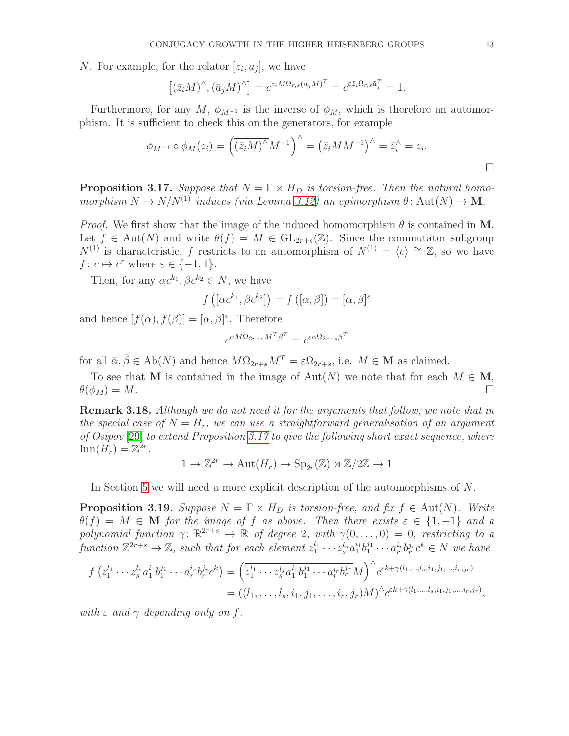N. For example, for the relator  $[z_i, a_j]$ , we have

$$
[(\bar{z}_i M)^\wedge, (\bar{a}_j M)^\wedge] = c^{\bar{z}_i M \Omega_{r,s} (\bar{a}_j M)^T} = c^{\varepsilon \bar{z}_i \Omega_{r,s} \bar{a}_j^T} = 1.
$$

Furthermore, for any M,  $\phi_{M^{-1}}$  is the inverse of  $\phi_M$ , which is therefore an automorphism. It is sufficient to check this on the generators, for example

$$
\phi_{M^{-1}} \circ \phi_M(z_i) = \left(\overline{(z_i M)^\wedge} M^{-1}\right)^\wedge = \left(\overline{z_i} M M^{-1}\right)^\wedge = \overline{z_i}^\wedge = z_i.
$$

<span id="page-12-0"></span>**Proposition 3.17.** Suppose that  $N = \Gamma \times H_D$  is torsion-free. Then the natural homomorphism  $N \to N/N^{(1)}$  induces (via Lemma [3.12\)](#page-11-0) an epimorphism  $\theta$ : Aut $(N) \to M$ .

*Proof.* We first show that the image of the induced homomorphism  $\theta$  is contained in M. Let  $f \in Aut(N)$  and write  $\theta(f) = M \in GL_{2r+s}(\mathbb{Z})$ . Since the commutator subgroup  $N^{(1)}$  is characteristic, f restricts to an automorphism of  $N^{(1)} = \langle c \rangle \cong \mathbb{Z}$ , so we have  $f: c \mapsto c^{\varepsilon}$  where  $\varepsilon \in \{-1, 1\}.$ 

Then, for any  $\alpha c^{k_1}, \beta c^{k_2} \in N$ , we have

$$
f\left(\left[\alpha c^{k_1}, \beta c^{k_2}\right]\right) = f\left(\left[\alpha, \beta\right]\right) = \left[\alpha, \beta\right]^{\varepsilon}
$$

and hence  $[f(\alpha), f(\beta)] = [\alpha, \beta]^{\varepsilon}$ . Therefore

$$
c^{\bar{\alpha}M\Omega_{2r+s}M^T\bar{\beta}^T}=c^{\varepsilon\bar{\alpha}\Omega_{2r+s}\bar{\beta}^T}
$$

for all  $\bar{\alpha}, \bar{\beta} \in Ab(N)$  and hence  $M\Omega_{2r+s}M^T = \varepsilon \Omega_{2r+s}$ , i.e.  $M \in \mathbf{M}$  as claimed.

To see that M is contained in the image of  $Aut(N)$  we note that for each  $M \in M$ ,  $\theta(\phi_M) = M.$ 

**Remark 3.18.** Although we do not need it for the arguments that follow, we note that in the special case of  $N = H_r$ , we can use a straightforward generalisation of an argument of Osipov [\[29\]](#page-24-15) to extend Proposition [3.17](#page-12-0) to give the following short exact sequence, where  $\text{Inn}(H_r) = \mathbb{Z}^{2r}.$ 

$$
1 \to \mathbb{Z}^{2r} \to \text{Aut}(H_r) \to \text{Sp}_{2r}(\mathbb{Z}) \rtimes \mathbb{Z}/2\mathbb{Z} \to 1
$$

In Section [5](#page-17-0) we will need a more explicit description of the automorphisms of N.

<span id="page-12-1"></span>**Proposition 3.19.** Suppose  $N = \Gamma \times H_D$  is torsion-free, and fix  $f \in Aut(N)$ . Write  $\theta(f) = M \in \mathbf{M}$  for the image of f as above. Then there exists  $\varepsilon \in \{1, -1\}$  and a polynomial function  $\gamma \colon \mathbb{R}^{2r+s} \to \mathbb{R}$  of degree 2, with  $\gamma(0,\ldots,0) = 0$ , restricting to a function  $\mathbb{Z}^{2r+s}\to\mathbb{Z}$ , such that for each element  $z_1^{l_1}\cdots z_s^{l_s}a_1^{i_1}b_1^{j_1}\cdots a_r^{i_r}b_r^{j_r}c^k\in N$  we have

$$
f(z_1^{l_1} \cdots z_s^{l_s} a_1^{i_1} b_1^{j_1} \cdots a_r^{i_r} b_r^{j_r} c^k) = \left( \overline{z_1^{l_1} \cdots z_s^{l_s} a_1^{i_1} b_1^{j_1} \cdots a_r^{i_r} b_r^{j_r}} M \right)^{\wedge} c^{\varepsilon k + \gamma(l_1, \dots, l_s, i_1, j_1, \dots, i_r, j_r)}
$$
  
= 
$$
((l_1, \dots, l_s, i_1, j_1, \dots, i_r, j_r) M)^{\wedge} c^{\varepsilon k + \gamma(l_1, \dots, l_s, i_1, j_1, \dots, i_r, j_r)},
$$

with  $\varepsilon$  and  $\gamma$  depending only on f.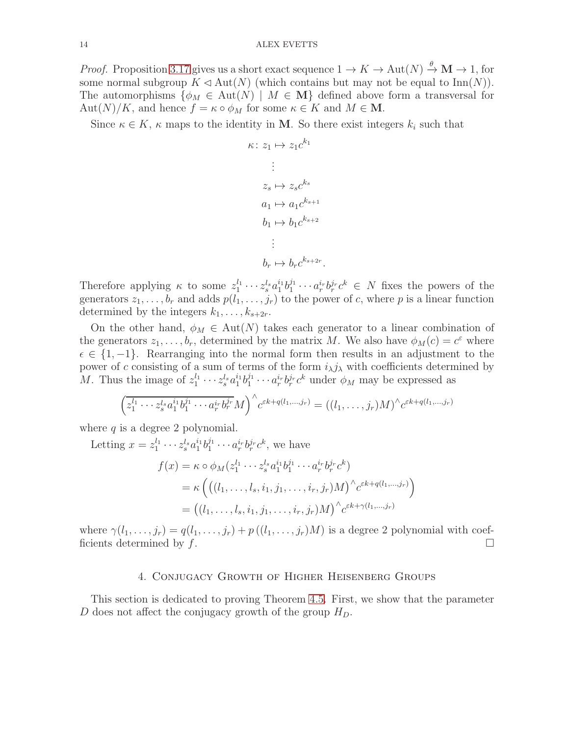*Proof.* Proposition [3.17](#page-12-0) gives us a short exact sequence  $1 \to K \to \text{Aut}(N) \stackrel{\theta}{\to} \mathbf{M} \to 1$ , for some normal subgroup  $K \triangleleft Aut(N)$  (which contains but may not be equal to  $Inn(N)$ ). The automorphisms  $\{\phi_M \in \text{Aut}(N) \mid M \in \mathbf{M}\}\$  defined above form a transversal for  $\text{Aut}(N)/K$ , and hence  $f = \kappa \circ \phi_M$  for some  $\kappa \in K$  and  $M \in \mathbf{M}$ .

Since  $\kappa \in K$ ,  $\kappa$  maps to the identity in **M**. So there exist integers  $k_i$  such that

$$
\kappa: z_1 \mapsto z_1 c^{k_1}
$$

$$
\vdots
$$

$$
z_s \mapsto z_s c^{k_s}
$$

$$
a_1 \mapsto a_1 c^{k_{s+1}}
$$

$$
b_1 \mapsto b_1 c^{k_{s+2}}
$$

$$
\vdots
$$

$$
b_r \mapsto b_r c^{k_{s+2r}}
$$

Therefore applying  $\kappa$  to some  $z_1^{l_1} \cdots z_s^{l_s} a_1^{i_1} b_1^{j_1}$  $i_1^{j_1} \cdots a_r^{i_r} b_r^{j_r} c^k \in N$  fixes the powers of the generators  $z_1, \ldots, b_r$  and adds  $p(l_1, \ldots, j_r)$  to the power of c, where p is a linear function determined by the integers  $k_1, \ldots, k_{s+2r}$ .

.

On the other hand,  $\phi_M \in Aut(N)$  takes each generator to a linear combination of the generators  $z_1, \ldots, b_r$ , determined by the matrix M. We also have  $\phi_M(c) = c^{\varepsilon}$  where  $\epsilon \in \{1, -1\}$ . Rearranging into the normal form then results in an adjustment to the power of c consisting of a sum of terms of the form  $i_{\lambda}j_{\lambda}$  with coefficients determined by *M*. Thus the image of  $z_1^{l_1} \cdots z_s^{l_s} a_1^{i_1} b_1^{j_1}$  $i_1^{j_1} \cdots a_r^{i_r} b_r^{j_r} c^k$  under  $\phi_M$  may be expressed as

$$
\left(z_1^{l_1}\cdots z_s^{l_s}a_1^{i_1}b_1^{j_1}\cdots a_r^{i_r}b_r^{j_r}M\right)^{\wedge}c^{\varepsilon k+q(l_1,\ldots,j_r)}=\left((l_1,\ldots,j_r)M\right)^{\wedge}c^{\varepsilon k+q(l_1,\ldots,j_r)}
$$

where  $q$  is a degree 2 polynomial.

Letting  $x = z_1^{l_1} \cdots z_s^{l_s} a_1^{i_1} b_1^{j_1}$  $i_1^{j_1} \cdots a_r^{i_r} b_r^{j_r} c^k$ , we have

$$
f(x) = \kappa \circ \phi_M(z_1^{l_1} \cdots z_s^{l_s} a_1^{i_1} b_1^{j_1} \cdots a_r^{i_r} b_r^{j_r} c^k)
$$
  
=  $\kappa \left( \left( (l_1, \ldots, l_s, i_1, j_1, \ldots, i_r, j_r) M \right)^{\wedge} c^{\varepsilon k + q(l_1, \ldots, j_r)} \right)$   
=  $\left( (l_1, \ldots, l_s, i_1, j_1, \ldots, i_r, j_r) M \right)^{\wedge} c^{\varepsilon k + \gamma(l_1, \ldots, j_r)}$ 

<span id="page-13-0"></span>where  $\gamma(l_1,\ldots,j_r) = q(l_1,\ldots,j_r) + p((l_1,\ldots,j_r)M)$  is a degree 2 polynomial with coefficients determined by  $f$ .

#### 4. Conjugacy Growth of Higher Heisenberg Groups

This section is dedicated to proving Theorem [4.5.](#page-16-0) First, we show that the parameter D does not affect the conjugacy growth of the group  $H_D$ .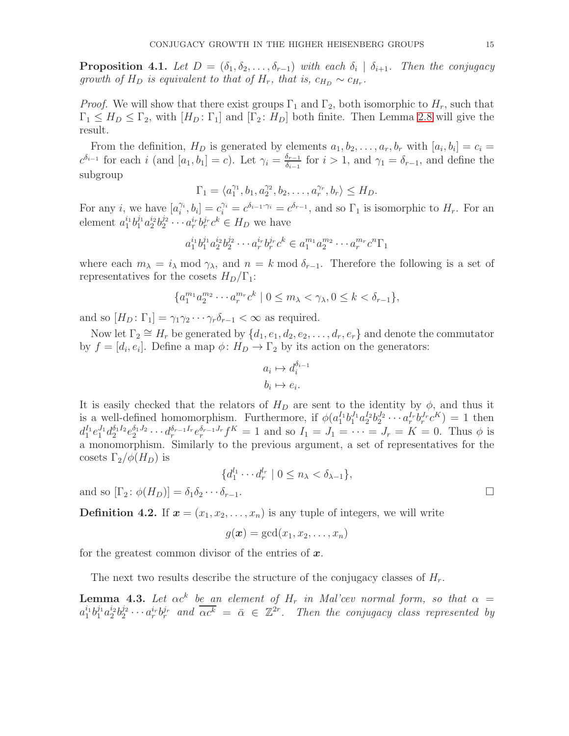**Proposition 4.1.** Let  $D = (\delta_1, \delta_2, \ldots, \delta_{r-1})$  with each  $\delta_i \mid \delta_{i+1}$ . Then the conjugacy growth of  $H_D$  is equivalent to that of  $H_r$ , that is,  $c_{H_D} \sim c_{H_r}$ .

*Proof.* We will show that there exist groups  $\Gamma_1$  and  $\Gamma_2$ , both isomorphic to  $H_r$ , such that  $\Gamma_1 \leq H_D \leq \Gamma_2$ , with  $[H_D: \Gamma_1]$  and  $[\Gamma_2: H_D]$  both finite. Then Lemma [2.8](#page-3-1) will give the result.

From the definition,  $H_D$  is generated by elements  $a_1, b_2, \ldots, a_r, b_r$  with  $[a_i, b_i] = c_i$  $c^{\delta_{i-1}}$  for each i (and  $[a_1, b_1] = c$ ). Let  $\gamma_i = \frac{\delta_{i-1}}{\delta_{i-1}}$  $\frac{\delta_{r-1}}{\delta_{i-1}}$  for  $i > 1$ , and  $\gamma_1 = \delta_{r-1}$ , and define the subgroup

$$
\Gamma_1 = \langle a_1^{\gamma_1}, b_1, a_2^{\gamma_2}, b_2, \dots, a_r^{\gamma_r}, b_r \rangle \le H_D.
$$

For any *i*, we have  $[a_i^{\gamma_i}]$  $[\hat{C}_i^{i}, b_i] = c_i^{\delta_i} = c^{\delta_{i-1} \cdot \gamma_i} = c^{\delta_{r-1}},$  and so  $\Gamma_1$  is isomorphic to  $H_r$ . For an element  $a_1^{i_1}b_1^{j_1}a_2^{i_2}b_2^{j_2}$  $a_2^{j_2} \cdots a_r^{i_r} b_r^{j_r} c^k \in H_D$  we have

$$
a_1^{i_1}b_1^{j_1}a_2^{i_2}b_2^{j_2}\cdots a_r^{i_r}b_r^{j_r}c^k \in a_1^{m_1}a_2^{m_2}\cdots a_r^{m_r}c^n\Gamma_1
$$

where each  $m_{\lambda} = i_{\lambda} \mod \gamma_{\lambda}$ , and  $n = k \mod \delta_{r-1}$ . Therefore the following is a set of representatives for the cosets  $H_D/\Gamma_1$ :

$$
\{a_1^{m_1}a_2^{m_2}\cdots a_r^{m_r}c^k \mid 0 \le m_\lambda < \gamma_\lambda, 0 \le k < \delta_{r-1}\},\
$$

and so  $[H_D: \Gamma_1] = \gamma_1 \gamma_2 \cdots \gamma_r \delta_{r-1} < \infty$  as required.

Now let  $\Gamma_2 \cong H_r$  be generated by  $\{d_1, e_1, d_2, e_2, \ldots, d_r, e_r\}$  and denote the commutator by  $f = [d_i, e_i]$ . Define a map  $\phi: H_D \to \Gamma_2$  by its action on the generators:

$$
a_i \mapsto d_i^{\delta_{i-1}}
$$

$$
b_i \mapsto e_i.
$$

It is easily checked that the relators of  $H_D$  are sent to the identity by  $\phi$ , and thus it is a well-defined homomorphism. Furthermore, if  $\phi(a_1^{I_1}b_1^{J_1}a_2^{I_2}b_2^{J_2}\cdots a_r^{I_r}b_r^{J_r}c^K) = 1$  then  $d_1^{I_1} e_1^{J_1} d_2^{\delta_1 I_2} e_2^{\delta_1 J_2} \cdots d_r^{\delta_{r-1} I_r} e_r^{\delta_{r-1} J_r} f^K = 1$  and so  $I_1 = J_1 = \cdots = J_r = K = 0$ . Thus  $\phi$  is a monomorphism. Similarly to the previous argument, a set of representatives for the cosets  $\Gamma_2/\phi(H_D)$  is

$$
\{d_1^{l_1}\cdots d_r^{l_r} \mid 0 \leq n_\lambda < \delta_{\lambda-1}\},\
$$

and so  $[\Gamma_2: \phi(H_D)] = \delta_1 \delta_2 \cdots \delta_{r-1}$ .

**Definition 4.2.** If  $x = (x_1, x_2, \ldots, x_n)$  is any tuple of integers, we will write

$$
g(\boldsymbol{x}) = \gcd(x_1, x_2, \ldots, x_n)
$$

for the greatest common divisor of the entries of  $x$ .

The next two results describe the structure of the conjugacy classes of  $H_r$ .

<span id="page-14-0"></span>**Lemma 4.3.** Let  $\alpha c^k$  be an element of  $H_r$  in Mal'cev normal form, so that  $\alpha$  =  $a_1^{i_1}b_1^{j_1}a_2^{i_2}b_2^{j_2}\cdots a_r^{i_r}b_r^{j_r}$  and  $\overline{\alpha c^k} = \overline{\alpha} \in \mathbb{Z}^{2r}$ . Then the conjugacy class represented by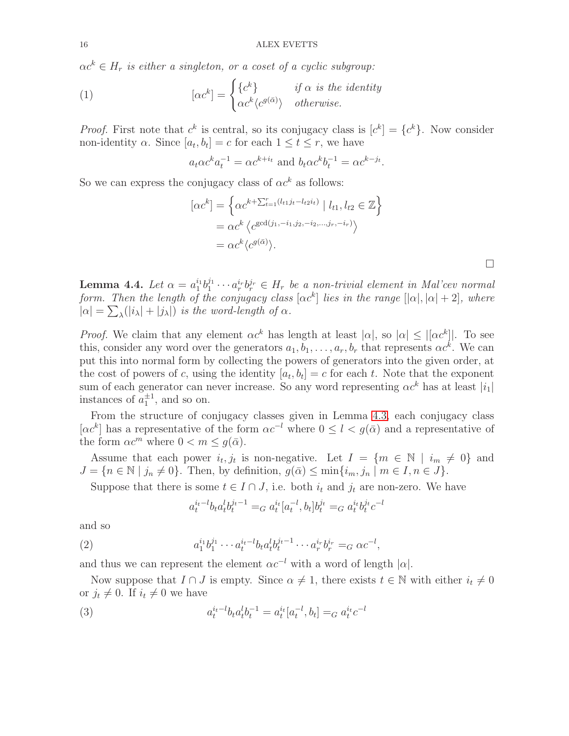$\alpha c^k \in H_r$  is either a singleton, or a coset of a cyclic subgroup:

(1) 
$$
[\alpha c^k] = \begin{cases} \{c^k\} & \text{if } \alpha \text{ is the identity} \\ \alpha c^k \langle c^{g(\bar{\alpha})} \rangle & otherwise. \end{cases}
$$

*Proof.* First note that  $c^k$  is central, so its conjugacy class is  $[c^k] = \{c^k\}$ . Now consider non-identity  $\alpha$ . Since  $[a_t, b_t] = c$  for each  $1 \le t \le r$ , we have

$$
a_t \alpha c^k a_t^{-1} = \alpha c^{k+i_t}
$$
 and  $b_t \alpha c^k b_t^{-1} = \alpha c^{k-j_t}$ .

So we can express the conjugacy class of  $\alpha c^k$  as follows:

$$
[\alpha c^k] = \left\{ \alpha c^{k + \sum_{t=1}^r (l_{t1}j_t - l_{t2}i_t)} \mid l_{t1}, l_{t2} \in \mathbb{Z} \right\}
$$
  
=  $\alpha c^k \left\langle c^{\gcd(j_1, -i_1, j_2, -i_2, \dots, j_r, -i_r)} \right\rangle$   
=  $\alpha c^k \langle c^{g(\bar{\alpha})} \rangle$ .

 $\Box$ 

<span id="page-15-2"></span>Lemma 4.4. Let  $\alpha = a_1^{i_1} b_1^{j_1}$  $a_1^{j_1} \cdots a_r^{i_r} b_r^{j_r} \in H_r$  be a non-trivial element in Mal'cev normal form. Then the length of the conjugacy class  $[\alpha c^k]$  lies in the range  $[|\alpha|, |\alpha| + 2]$ , where  $|\alpha| = \sum_{\lambda} (|i_{\lambda}| + |j_{\lambda}|)$  is the word-length of  $\alpha$ .

*Proof.* We claim that any element  $\alpha c^k$  has length at least  $|\alpha|$ , so  $|\alpha| \leq |[\alpha c^k]|$ . To see this, consider any word over the generators  $a_1, b_1, \ldots, a_r, b_r$  that represents  $\alpha c^k$ . We can put this into normal form by collecting the powers of generators into the given order, at the cost of powers of c, using the identity  $[a_t, b_t] = c$  for each t. Note that the exponent sum of each generator can never increase. So any word representing  $\alpha c^k$  has at least  $|i_1|$ instances of  $a_1^{\pm 1}$ , and so on.

From the structure of conjugacy classes given in Lemma [4.3,](#page-14-0) each conjugacy class  $[\alpha c^k]$  has a representative of the form  $\alpha c^{-l}$  where  $0 \leq l < g(\bar{\alpha})$  and a representative of the form  $\alpha c^m$  where  $0 < m \leq g(\bar{\alpha})$ .

Assume that each power  $i_t, j_t$  is non-negative. Let  $I = \{m \in \mathbb{N} \mid i_m \neq 0\}$  and  $J = \{n \in \mathbb{N} \mid j_n \neq 0\}.$  Then, by definition,  $g(\bar{\alpha}) \leq \min\{i_m, j_n \mid m \in I, n \in J\}.$ 

Suppose that there is some  $t \in I \cap J$ , i.e. both  $i_t$  and  $j_t$  are non-zero. We have

<span id="page-15-1"></span><span id="page-15-0"></span>
$$
a_t^{i_t-l} b_t a_t^l b_t^{j_t-1} =_G a_t^{i_t} [a_t^{-l}, b_t] b_t^{j_t} =_G a_t^{i_t} b_t^{j_t} c^{-l}
$$

and so

(2) 
$$
a_1^{i_1}b_1^{j_1}\cdots a_t^{i_t-l}b_t a_t^l b_t^{j_t-1}\cdots a_r^{i_r} b_r^{i_r} =_G \alpha c^{-l},
$$

and thus we can represent the element  $\alpha c^{-l}$  with a word of length  $|\alpha|$ .

Now suppose that  $I \cap J$  is empty. Since  $\alpha \neq 1$ , there exists  $t \in \mathbb{N}$  with either  $i_t \neq 0$ or  $j_t \neq 0$ . If  $i_t \neq 0$  we have

(3) 
$$
a_t^{i_l-l}b_t a_t^l b_t^{-1} = a_t^{i_l} [a_t^{-l}, b_t] =_G a_t^{i_l} c^{-l}
$$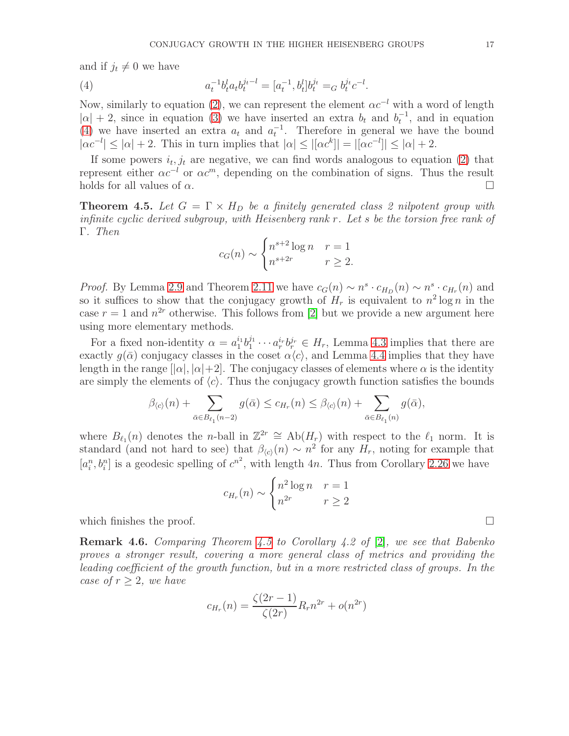and if  $j_t \neq 0$  we have

<span id="page-16-1"></span>(4) 
$$
a_t^{-1}b_t^l a_t b_t^{j_t-l} = [a_t^{-1}, b_t^l]b_t^{j_t} =_G b_t^{j_t} c^{-l}.
$$

Now, similarly to equation [\(2\)](#page-15-0), we can represent the element  $\alpha c^{-l}$  with a word of length  $|\alpha| + 2$ , since in equation [\(3\)](#page-15-1) we have inserted an extra  $b_t$  and  $b_t^{-1}$ , and in equation [\(4\)](#page-16-1) we have inserted an extra  $a_t$  and  $a_t^{-1}$ . Therefore in general we have the bound  $|\alpha c^{-l}| \leq |\alpha| + 2$ . This in turn implies that  $|\alpha| \leq |[\alpha c^k]| = |[\alpha c^{-l}]| \leq |\alpha| + 2$ .

If some powers  $i_t, j_t$  are negative, we can find words analogous to equation [\(2\)](#page-15-0) that represent either  $\alpha c^{-l}$  or  $\alpha c^{m}$ , depending on the combination of signs. Thus the result holds for all values of  $\alpha$ .

<span id="page-16-0"></span>**Theorem 4.5.** Let  $G = \Gamma \times H_D$  be a finitely generated class 2 nilpotent group with infinite cyclic derived subgroup, with Heisenberg rank  $r$ . Let  $s$  be the torsion free rank of Γ. Then

$$
c_G(n) \sim \begin{cases} n^{s+2} \log n & r = 1\\ n^{s+2r} & r \ge 2. \end{cases}
$$

*Proof.* By Lemma [2.9](#page-4-1) and Theorem [2.11](#page-4-0) we have  $c_G(n) \sim n^s \cdot c_{H_D}(n) \sim n^s \cdot c_{H_r}(n)$  and so it suffices to show that the conjugacy growth of  $H_r$  is equivalent to  $n^2 \log n$  in the case  $r = 1$  and  $n^{2r}$  otherwise. This follows from [\[2\]](#page-23-2) but we provide a new argument here using more elementary methods.

For a fixed non-identity  $\alpha = a_1^{i_1} b_1^{j_1}$  $a_1^{j_1} \cdots a_r^{i_r} b_r^{j_r} \in H_r$ , Lemma [4.3](#page-14-0) implies that there are exactly  $g(\bar{\alpha})$  conjugacy classes in the coset  $\alpha\langle c \rangle$ , and Lemma [4.4](#page-15-2) implies that they have length in the range  $[|\alpha|, |\alpha|+2]$ . The conjugacy classes of elements where  $\alpha$  is the identity are simply the elements of  $\langle c \rangle$ . Thus the conjugacy growth function satisfies the bounds

$$
\beta_{\langle c \rangle}(n) + \sum_{\bar{\alpha} \in B_{\ell_1}(n-2)} g(\bar{\alpha}) \leq c_{H_r}(n) \leq \beta_{\langle c \rangle}(n) + \sum_{\bar{\alpha} \in B_{\ell_1}(n)} g(\bar{\alpha}),
$$

where  $B_{\ell_1}(n)$  denotes the *n*-ball in  $\mathbb{Z}^{2r} \cong Ab(H_r)$  with respect to the  $\ell_1$  norm. It is standard (and not hard to see) that  $\beta_{(c)}(n) \sim n^2$  for any  $H_r$ , noting for example that  $[a_i^n, b_i^n]$  is a geodesic spelling of  $c^{n^2}$ , with length 4n. Thus from Corollary [2.26](#page-7-2) we have

$$
c_{H_r}(n) \sim \begin{cases} n^2 \log n & r = 1\\ n^{2r} & r \ge 2 \end{cases}
$$

which finishes the proof.  $\Box$ 

**Remark 4.6.** Comparing Theorem [4.5](#page-16-0) to Corollary 4.2 of [\[2\]](#page-23-2), we see that Babenko proves a stronger result, covering a more general class of metrics and providing the leading coefficient of the growth function, but in a more restricted class of groups. In the case of  $r \geq 2$ , we have

$$
c_{H_r}(n) = \frac{\zeta(2r-1)}{\zeta(2r)} R_r n^{2r} + o(n^{2r})
$$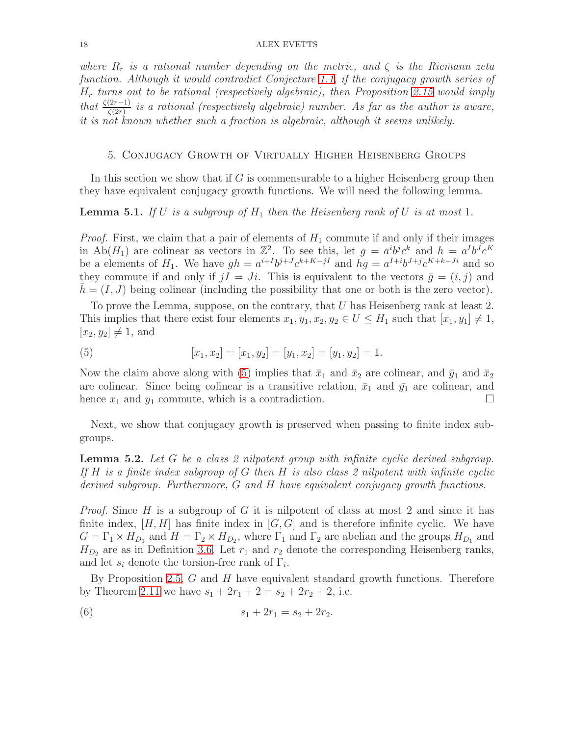where  $R_r$  is a rational number depending on the metric, and  $\zeta$  is the Riemann zeta function. Although it would contradict Conjecture [1.1,](#page-2-1) if the conjugacy growth series of  $H_r$  turns out to be rational (respectively algebraic), then Proposition [2.15](#page-6-4) would imply that  $\frac{\zeta(2r-1)}{\zeta(2r)}$  is a rational (respectively algebraic) number. As far as the author is aware, it is not known whether such a fraction is algebraic, although it seems unlikely.

### <span id="page-17-0"></span>5. Conjugacy Growth of Virtually Higher Heisenberg Groups

In this section we show that if  $G$  is commensurable to a higher Heisenberg group then they have equivalent conjugacy growth functions. We will need the following lemma.

<span id="page-17-3"></span>**Lemma 5.1.** If U is a subgroup of  $H_1$  then the Heisenberg rank of U is at most 1.

*Proof.* First, we claim that a pair of elements of  $H_1$  commute if and only if their images in Ab $(H_1)$  are colinear as vectors in  $\mathbb{Z}^2$ . To see this, let  $g = a^i b^j c^k$  and  $h = a^I b^J c^K$ be a elements of  $H_1$ . We have  $gh = a^{i+1}b^{j+J}c^{k+K-jI}$  and  $hg = a^{I+i}b^{J+j}c^{K+k-Ji}$  and so they commute if and only if  $jI = Ji$ . This is equivalent to the vectors  $\bar{g} = (i, j)$  and  $h = (I, J)$  being colinear (including the possibility that one or both is the zero vector).

To prove the Lemma, suppose, on the contrary, that  $U$  has Heisenberg rank at least 2. This implies that there exist four elements  $x_1, y_1, x_2, y_2 \in U \leq H_1$  such that  $[x_1, y_1] \neq 1$ ,  $[x_2, y_2] \neq 1$ , and

<span id="page-17-1"></span>(5) 
$$
[x_1, x_2] = [x_1, y_2] = [y_1, x_2] = [y_1, y_2] = 1.
$$

Now the claim above along with [\(5\)](#page-17-1) implies that  $\bar{x}_1$  and  $\bar{x}_2$  are colinear, and  $\bar{y}_1$  and  $\bar{x}_2$ are colinear. Since being colinear is a transitive relation,  $\bar{x}_1$  and  $\bar{y}_1$  are colinear, and hence  $x_1$  and  $y_1$  commute, which is a contradiction.

Next, we show that conjugacy growth is preserved when passing to finite index subgroups.

<span id="page-17-4"></span>**Lemma 5.2.** Let  $G$  be a class 2 nilpotent group with infinite cyclic derived subgroup. If H is a finite index subgroup of G then H is also class 2 nilpotent with infinite cyclic derived subgroup. Furthermore, G and H have equivalent conjugacy growth functions.

*Proof.* Since  $H$  is a subgroup of  $G$  it is nilpotent of class at most 2 and since it has finite index,  $[H, H]$  has finite index in  $[G, G]$  and is therefore infinite cyclic. We have  $G = \Gamma_1 \times H_{D_1}$  and  $H = \Gamma_2 \times H_{D_2}$ , where  $\Gamma_1$  and  $\Gamma_2$  are abelian and the groups  $H_{D_1}$  and  $H_{D_2}$  are as in Definition [3.6.](#page-10-1) Let  $r_1$  and  $r_2$  denote the corresponding Heisenberg ranks, and let  $s_i$  denote the torsion-free rank of  $\Gamma_i$ .

By Proposition [2.5,](#page-3-0)  $G$  and  $H$  have equivalent standard growth functions. Therefore by Theorem [2.11](#page-4-0) we have  $s_1 + 2r_1 + 2 = s_2 + 2r_2 + 2$ , i.e.

<span id="page-17-2"></span>(6) 
$$
s_1 + 2r_1 = s_2 + 2r_2.
$$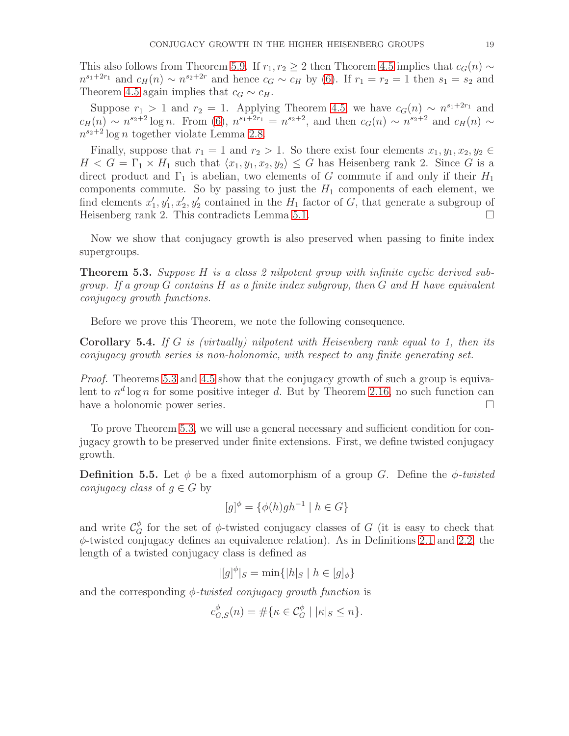This also follows from Theorem [5.9.](#page-22-2) If  $r_1, r_2 \geq 2$  then Theorem [4.5](#page-16-0) implies that  $c_G(n) \sim$  $n^{s_1+2r_1}$  and  $c_H(n) \sim n^{s_2+2r}$  and hence  $c_G \sim c_H$  by [\(6\)](#page-17-2). If  $r_1 = r_2 = 1$  then  $s_1 = s_2$  and Theorem [4.5](#page-16-0) again implies that  $c_G \sim c_H$ .

Suppose  $r_1 > 1$  and  $r_2 = 1$ . Applying Theorem [4.5,](#page-16-0) we have  $c_G(n) \sim n^{s_1+2r_1}$  and  $c_H(n) \sim n^{s_2+2} \log n$ . From [\(6\)](#page-17-2),  $n^{s_1+2r_1} = n^{s_2+2}$ , and then  $c_G(n) \sim n^{s_2+2}$  and  $c_H(n) \sim$  $n^{s_2+2}\log n$  together violate Lemma [2.8.](#page-3-1)

Finally, suppose that  $r_1 = 1$  and  $r_2 > 1$ . So there exist four elements  $x_1, y_1, x_2, y_2 \in$  $H < G = \Gamma_1 \times H_1$  such that  $\langle x_1, y_1, x_2, y_2 \rangle \leq G$  has Heisenberg rank 2. Since G is a direct product and  $\Gamma_1$  is abelian, two elements of G commute if and only if their  $H_1$ components commute. So by passing to just the  $H_1$  components of each element, we find elements  $x'_1, y'_1, x'_2, y'_2$  contained in the  $H_1$  factor of G, that generate a subgroup of Heisenberg rank 2. This contradicts Lemma [5.1.](#page-17-3)

Now we show that conjugacy growth is also preserved when passing to finite index supergroups.

<span id="page-18-1"></span>**Theorem 5.3.** Suppose H is a class 2 nilpotent group with infinite cyclic derived subgroup. If a group  $G$  contains  $H$  as a finite index subgroup, then  $G$  and  $H$  have equivalent conjugacy growth functions.

Before we prove this Theorem, we note the following consequence.

<span id="page-18-2"></span>**Corollary 5.4.** If G is (virtually) nilpotent with Heisenberg rank equal to 1, then its conjugacy growth series is non-holonomic, with respect to any finite generating set.

Proof. Theorems [5.3](#page-18-1) and [4.5](#page-16-0) show that the conjugacy growth of such a group is equivalent to  $n^d \log n$  for some positive integer d. But by Theorem [2.16,](#page-6-1) no such function can have a holonomic power series.

To prove Theorem [5.3,](#page-18-1) we will use a general necessary and sufficient condition for conjugacy growth to be preserved under finite extensions. First, we define twisted conjugacy growth.

<span id="page-18-0"></span>**Definition 5.5.** Let  $\phi$  be a fixed automorphism of a group G. Define the  $\phi$ -twisted *conjugacy class* of  $q \in G$  by

$$
[g]^{\phi} = \{ \phi(h)gh^{-1} \mid h \in G \}
$$

and write  $\mathcal{C}_G^{\phi}$  for the set of  $\phi$ -twisted conjugacy classes of G (it is easy to check that  $\phi$ -twisted conjugacy defines an equivalence relation). As in Definitions [2.1](#page-2-2) and [2.2,](#page-2-3) the length of a twisted conjugacy class is defined as

$$
|[g]^{\phi}|_{S} = \min\{|h|_{S} \mid h \in [g]_{\phi}\}\
$$

and the corresponding  $\phi$ -twisted conjugacy growth function is

$$
c_{G,S}^{\phi}(n) = \# \{ \kappa \in \mathcal{C}_G^{\phi} \mid |\kappa|_S \le n \}.
$$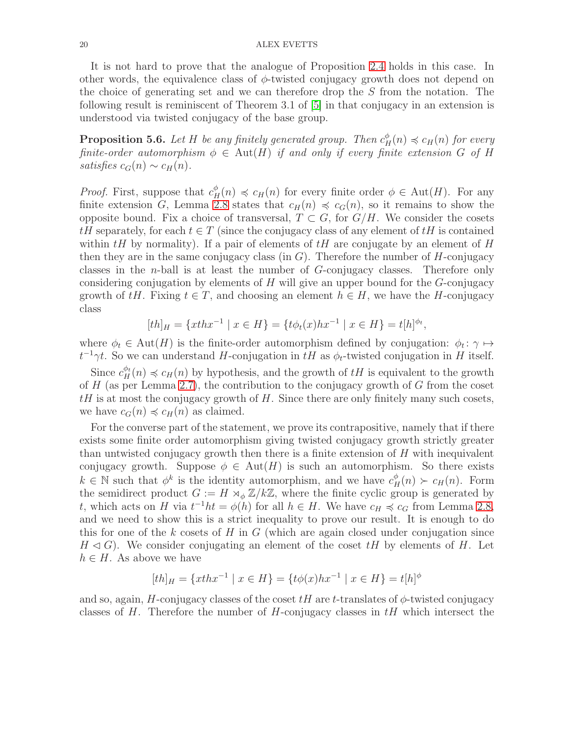It is not hard to prove that the analogue of Proposition [2.4](#page-3-2) holds in this case. In other words, the equivalence class of  $\phi$ -twisted conjugacy growth does not depend on the choice of generating set and we can therefore drop the S from the notation. The following result is reminiscent of Theorem 3.1 of [\[5\]](#page-23-14) in that conjugacy in an extension is understood via twisted conjugacy of the base group.

<span id="page-19-0"></span>**Proposition 5.6.** Let H be any finitely generated group. Then  $c_H^{\phi}(n) \preccurlyeq c_H(n)$  for every finite-order automorphism  $\phi \in \text{Aut}(H)$  if and only if every finite extension G of H satisfies  $c_G(n) \sim c_H(n)$ .

*Proof.* First, suppose that  $c_H^{\phi}(n) \preccurlyeq c_H(n)$  for every finite order  $\phi \in \text{Aut}(H)$ . For any finite extension G, Lemma [2.8](#page-3-1) states that  $c_H(n) \preccurlyeq c_G(n)$ , so it remains to show the opposite bound. Fix a choice of transversal,  $T \subset G$ , for  $G/H$ . We consider the cosets  $tH$  separately, for each  $t \in T$  (since the conjugacy class of any element of  $tH$  is contained within  $tH$  by normality). If a pair of elements of  $tH$  are conjugate by an element of H then they are in the same conjugacy class (in  $G$ ). Therefore the number of H-conjugacy classes in the n-ball is at least the number of G-conjugacy classes. Therefore only considering conjugation by elements of  $H$  will give an upper bound for the  $G$ -conjugacy growth of tH. Fixing  $t \in T$ , and choosing an element  $h \in H$ , we have the H-conjugacy class

$$
[th]_H = \{xthx^{-1} \mid x \in H\} = \{t\phi_t(x)hx^{-1} \mid x \in H\} = t[h]^{\phi_t},
$$

where  $\phi_t \in \text{Aut}(H)$  is the finite-order automorphism defined by conjugation:  $\phi_t : \gamma \mapsto$  $t^{-1}\gamma t$ . So we can understand H-conjugation in  $tH$  as  $\phi_t$ -twisted conjugation in H itself.

Since  $c_H^{\phi_t}(n) \preccurlyeq c_H(n)$  by hypothesis, and the growth of  $tH$  is equivalent to the growth of  $H$  (as per Lemma [2.7\)](#page-3-3), the contribution to the conjugacy growth of  $G$  from the coset  $tH$  is at most the conjugacy growth of H. Since there are only finitely many such cosets, we have  $c_G(n) \preccurlyeq c_H(n)$  as claimed.

For the converse part of the statement, we prove its contrapositive, namely that if there exists some finite order automorphism giving twisted conjugacy growth strictly greater than untwisted conjugacy growth then there is a finite extension of  $H$  with inequivalent conjugacy growth. Suppose  $\phi \in Aut(H)$  is such an automorphism. So there exists  $k \in \mathbb{N}$  such that  $\phi^k$  is the identity automorphism, and we have  $c_H^{\phi}(n) > c_H(n)$ . Form the semidirect product  $G := H \rtimes_{\phi} \mathbb{Z}/k\mathbb{Z}$ , where the finite cyclic group is generated by t, which acts on H via  $t^{-1}ht = \phi(h)$  for all  $h \in H$ . We have  $c_H \preccurlyeq c_G$  from Lemma [2.8,](#page-3-1) and we need to show this is a strict inequality to prove our result. It is enough to do this for one of the k cosets of  $H$  in  $G$  (which are again closed under conjugation since  $H \triangleleft G$ ). We consider conjugating an element of the coset  $tH$  by elements of H. Let  $h \in H$ . As above we have

$$
[th]_H = \{xthx^{-1} \mid x \in H\} = \{t\phi(x)hx^{-1} \mid x \in H\} = t[h]^{\phi}
$$

and so, again, H-conjugacy classes of the coset  $tH$  are t-translates of  $\phi$ -twisted conjugacy classes of H. Therefore the number of H-conjugacy classes in  $tH$  which intersect the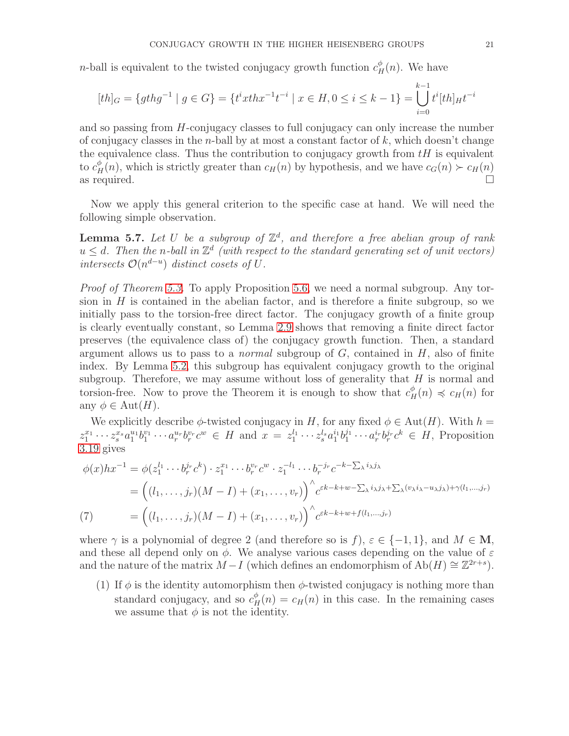*n*-ball is equivalent to the twisted conjugacy growth function  $c_H^{\phi}(n)$ . We have

$$
[th]_G = \{ gthg^{-1} \mid g \in G \} = \{ t^i xthx^{-1}t^{-i} \mid x \in H, 0 \le i \le k - 1 \} = \bigcup_{i=0}^{k-1} t^i [th]_H t^{-i}
$$

and so passing from H-conjugacy classes to full conjugacy can only increase the number of conjugacy classes in the *n*-ball by at most a constant factor of  $k$ , which doesn't change the equivalence class. Thus the contribution to conjugacy growth from  $tH$  is equivalent to  $c_H^{\phi}(n)$ , which is strictly greater than  $c_H(n)$  by hypothesis, and we have  $c_G(n) > c_H(n)$ as required.  $\Box$ 

Now we apply this general criterion to the specific case at hand. We will need the following simple observation.

<span id="page-20-1"></span>**Lemma 5.7.** Let U be a subgroup of  $\mathbb{Z}^d$ , and therefore a free abelian group of rank  $u \leq d$ . Then the n-ball in  $\mathbb{Z}^d$  (with respect to the standard generating set of unit vectors) intersects  $\mathcal{O}(n^{d-u})$  distinct cosets of U.

Proof of Theorem [5.3.](#page-18-1) To apply Proposition [5.6,](#page-19-0) we need a normal subgroup. Any torsion in  $H$  is contained in the abelian factor, and is therefore a finite subgroup, so we initially pass to the torsion-free direct factor. The conjugacy growth of a finite group is clearly eventually constant, so Lemma [2.9](#page-4-1) shows that removing a finite direct factor preserves (the equivalence class of) the conjugacy growth function. Then, a standard argument allows us to pass to a *normal* subgroup of  $G$ , contained in  $H$ , also of finite index. By Lemma [5.2,](#page-17-4) this subgroup has equivalent conjugacy growth to the original subgroup. Therefore, we may assume without loss of generality that  $H$  is normal and torsion-free. Now to prove the Theorem it is enough to show that  $c_H^{\phi}(n) \preccurlyeq c_H(n)$  for any  $\phi \in \text{Aut}(H)$ .

We explicitly describe  $\phi$ -twisted conjugacy in H, for any fixed  $\phi \in \text{Aut}(H)$ . With  $h =$  $z_1^{x_1} \cdots z_s^{x_s} a_1^{u_1} b_1^{v_1} \cdots a_r^{u_r} b_r^{v_r} c^w \in H$  and  $x = z_1^{l_1} \cdots z_s^{l_s} a_1^{i_1} b_1^{j_1}$  $a_1^{j_1} \cdots a_r^{i_r} b_r^{j_r} c^k \in H$ , Proposition [3.19](#page-12-1) gives

$$
\phi(x)hx^{-1} = \phi(z_1^{l_1}\cdots b_r^{j_r}c^k) \cdot z_1^{x_1}\cdots b_r^{v_r}c^w \cdot z_1^{-l_1}\cdots b_r^{-j_r}c^{-k-\sum_{\lambda}i_{\lambda}j_{\lambda}}
$$
  
= 
$$
\left((l_1,\ldots,j_r)(M-I) + (x_1,\ldots,v_r)\right)^{\wedge} c^{\varepsilon k-k+w-\sum_{\lambda}i_{\lambda}j_{\lambda}+\sum_{\lambda}(v_{\lambda}i_{\lambda}-u_{\lambda}j_{\lambda})+\gamma(l_1,\ldots,j_r)}
$$
  
(7) = 
$$
\left((l_1,\ldots,j_r)(M-I) + (x_1,\ldots,v_r)\right)^{\wedge} c^{\varepsilon k-k+w+f(l_1,\ldots,j_r)}
$$

<span id="page-20-0"></span>where  $\gamma$  is a polynomial of degree 2 (and therefore so is f),  $\varepsilon \in \{-1,1\}$ , and  $M \in \mathbf{M}$ , and these all depend only on  $\phi$ . We analyse various cases depending on the value of  $\varepsilon$ and the nature of the matrix  $M-I$  (which defines an endomorphism of  $Ab(H) \cong \mathbb{Z}^{2r+s}$ ).

(1) If  $\phi$  is the identity automorphism then  $\phi$ -twisted conjugacy is nothing more than standard conjugacy, and so  $c_H^{\phi}(n) = c_H(n)$  in this case. In the remaining cases we assume that  $\phi$  is not the identity.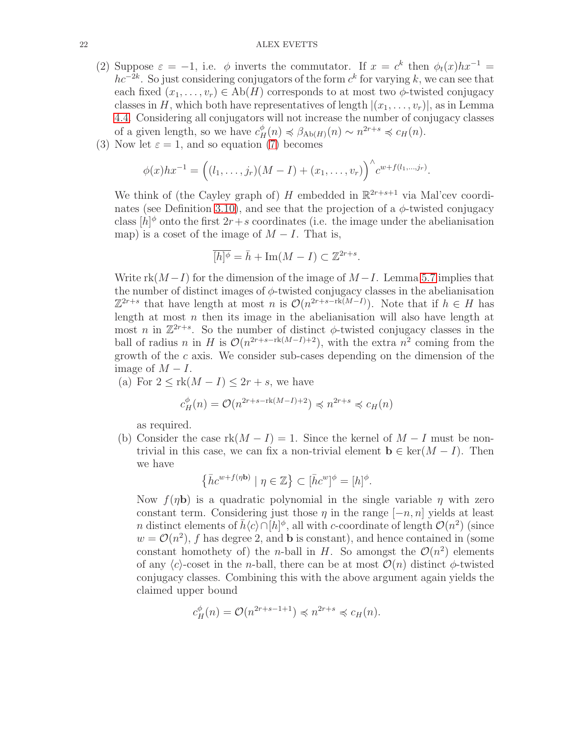- (2) Suppose  $\varepsilon = -1$ , i.e.  $\phi$  inverts the commutator. If  $x = c^k$  then  $\phi_t(x)hx^{-1} =$  $hc^{-2k}$ . So just considering conjugators of the form  $c<sup>k</sup>$  for varying k, we can see that each fixed  $(x_1, \ldots, x_r) \in Ab(H)$  corresponds to at most two  $\phi$ -twisted conjugacy classes in H, which both have representatives of length  $|(x_1, \ldots, x_r)|$ , as in Lemma [4.4.](#page-15-2) Considering all conjugators will not increase the number of conjugacy classes of a given length, so we have  $c_H^{\phi}(n) \preccurlyeq \beta_{Ab(H)}(n) \sim n^{2r+s} \preccurlyeq c_H(n)$ .
- (3) Now let  $\varepsilon = 1$ , and so equation [\(7\)](#page-20-0) becomes

$$
\phi(x)hx^{-1} = ((l_1, \ldots, j_r)(M - I) + (x_1, \ldots, v_r))^{n} c^{w + f(l_1, \ldots, j_r)}.
$$

We think of (the Cayley graph of) H embedded in  $\mathbb{R}^{2r+s+1}$  via Mal'cev coordi-nates (see Definition [3.10\)](#page-10-2), and see that the projection of a  $\phi$ -twisted conjugacy class  $[h]^{\phi}$  onto the first  $2r+s$  coordinates (i.e. the image under the abelianisation map) is a coset of the image of  $M-I$ . That is,

$$
\overline{[h]^{\phi}} = \overline{h} + \operatorname{Im}(M - I) \subset \mathbb{Z}^{2r + s}.
$$

Write rk $(M-I)$  for the dimension of the image of  $M-I$ . Lemma [5.7](#page-20-1) implies that the number of distinct images of  $\phi$ -twisted conjugacy classes in the abelianisation  $\mathbb{Z}^{2r+s}$  that have length at most n is  $\mathcal{O}(n^{2r+s-rk(M-I)})$ . Note that if  $h \in H$  has length at most  $n$  then its image in the abelianisation will also have length at most *n* in  $\mathbb{Z}^{2r+s}$ . So the number of distinct  $\phi$ -twisted conjugacy classes in the ball of radius *n* in H is  $\mathcal{O}(n^{2r+s-rk(M-I)+2})$ , with the extra  $n^2$  coming from the growth of the c axis. We consider sub-cases depending on the dimension of the image of  $M - I$ .

(a) For  $2 \leq \text{rk}(M-I) \leq 2r+s$ , we have

$$
c_H^{\phi}(n) = \mathcal{O}(n^{2r+s-\text{rk}(M-I)+2}) \preccurlyeq n^{2r+s} \preccurlyeq c_H(n)
$$

as required.

(b) Consider the case  $rk(M-I)=1$ . Since the kernel of  $M-I$  must be nontrivial in this case, we can fix a non-trivial element  $\mathbf{b} \in \text{ker}(M - I)$ . Then we have

$$
\left\{\bar h c^{w+f(\eta \mathbf b)}\mid \eta \in \mathbb Z\right\} \subset [\bar h c^w]^\phi = [h]^\phi.
$$

Now  $f(\eta b)$  is a quadratic polynomial in the single variable  $\eta$  with zero constant term. Considering just those  $\eta$  in the range  $[-n, n]$  yields at least n distinct elements of  $\bar{h}\langle c\rangle\cap[h]^\phi$ , all with c-coordinate of length  $\mathcal{O}(n^2)$  (since  $w = \mathcal{O}(n^2)$ , f has degree 2, and **b** is constant), and hence contained in (some constant homothety of) the *n*-ball in H. So amongst the  $\mathcal{O}(n^2)$  elements of any  $\langle c \rangle$ -coset in the *n*-ball, there can be at most  $\mathcal{O}(n)$  distinct  $\phi$ -twisted conjugacy classes. Combining this with the above argument again yields the claimed upper bound

$$
c_H^{\phi}(n) = \mathcal{O}(n^{2r+s-1+1}) \preccurlyeq n^{2r+s} \preccurlyeq c_H(n).
$$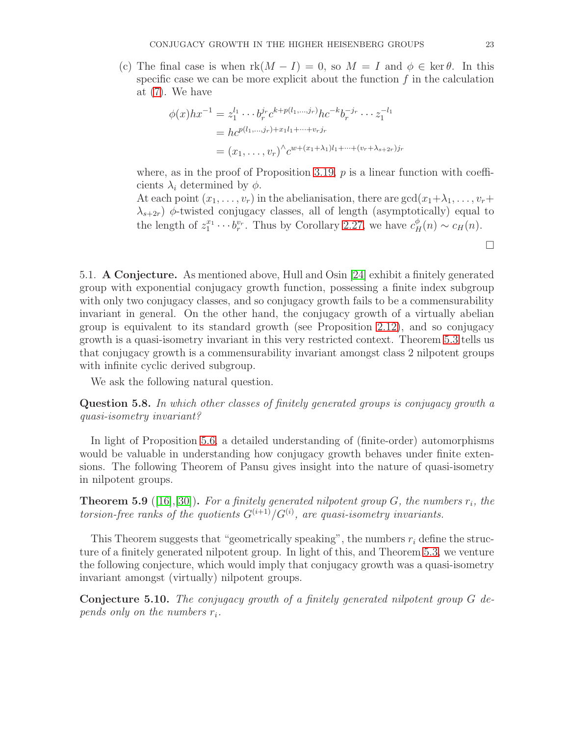(c) The final case is when  $rk(M - I) = 0$ , so  $M = I$  and  $\phi \in \text{ker }\theta$ . In this specific case we can be more explicit about the function  $f$  in the calculation at [\(7\)](#page-20-0). We have

$$
\phi(x)hx^{-1} = z_1^{l_1} \cdots b_r^{j_r} c^{k+p(l_1,\ldots,j_r)}hc^{-k}b_r^{-j_r} \cdots z_1^{-l_1}
$$
  
=  $hc^{p(l_1,\ldots,j_r)+x_1l_1+\cdots+v_rj_r}$   
=  $(x_1,\ldots,v_r)^{\wedge} c^{w+(x_1+\lambda_1)l_1+\cdots+(v_r+\lambda_{s+2r})j_r}$ 

where, as in the proof of Proposition [3.19,](#page-12-1)  $p$  is a linear function with coefficients  $\lambda_i$  determined by  $\phi$ .

At each point  $(x_1, \ldots, x_r)$  in the abelianisation, there are  $gcd(x_1 + \lambda_1, \ldots, x_r +$  $\lambda_{s+2r}$ )  $\phi$ -twisted conjugacy classes, all of length (asymptotically) equal to the length of  $z_1^{x_1} \cdots b_r^{v_r}$ . Thus by Corollary [2.27,](#page-8-1) we have  $c_H^{\phi}(n) \sim c_H(n)$ .

 $\Box$ 

5.1. A Conjecture. As mentioned above, Hull and Osin [\[24\]](#page-24-1) exhibit a finitely generated group with exponential conjugacy growth function, possessing a finite index subgroup with only two conjugacy classes, and so conjugacy growth fails to be a commensurability invariant in general. On the other hand, the conjugacy growth of a virtually abelian group is equivalent to its standard growth (see Proposition [2.12\)](#page-5-0), and so conjugacy growth is a quasi-isometry invariant in this very restricted context. Theorem [5.3](#page-18-1) tells us that conjugacy growth is a commensurability invariant amongst class 2 nilpotent groups with infinite cyclic derived subgroup.

We ask the following natural question.

<span id="page-22-0"></span>Question 5.8. In which other classes of finitely generated groups is conjugacy growth a quasi-isometry invariant?

In light of Proposition [5.6,](#page-19-0) a detailed understanding of (finite-order) automorphisms would be valuable in understanding how conjugacy growth behaves under finite extensions. The following Theorem of Pansu gives insight into the nature of quasi-isometry in nilpotent groups.

<span id="page-22-2"></span>**Theorem 5.9** ([\[16\]](#page-23-15),[\[30\]](#page-24-16)). For a finitely generated nilpotent group G, the numbers  $r_i$ , the torsion-free ranks of the quotients  $G^{(i+1)}/G^{(i)}$ , are quasi-isometry invariants.

This Theorem suggests that "geometrically speaking", the numbers  $r_i$  define the structure of a finitely generated nilpotent group. In light of this, and Theorem [5.3,](#page-18-1) we venture the following conjecture, which would imply that conjugacy growth was a quasi-isometry invariant amongst (virtually) nilpotent groups.

<span id="page-22-1"></span>Conjecture 5.10. The conjugacy growth of a finitely generated nilpotent group G depends only on the numbers  $r_i$ .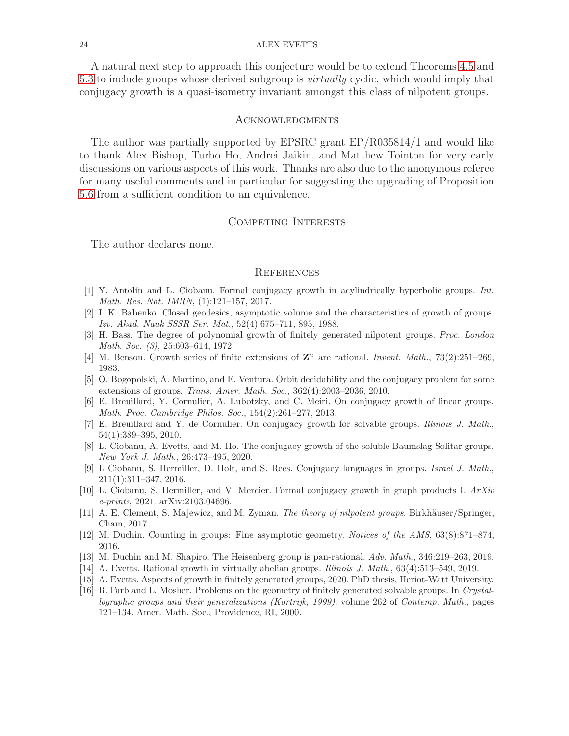A natural next step to approach this conjecture would be to extend Theorems [4.5](#page-16-0) and [5.3](#page-18-1) to include groups whose derived subgroup is *virtually* cyclic, which would imply that conjugacy growth is a quasi-isometry invariant amongst this class of nilpotent groups.

#### Acknowledgments

The author was partially supported by EPSRC grant EP/R035814/1 and would like to thank Alex Bishop, Turbo Ho, Andrei Jaikin, and Matthew Tointon for very early discussions on various aspects of this work. Thanks are also due to the anonymous referee for many useful comments and in particular for suggesting the upgrading of Proposition [5.6](#page-19-0) from a sufficient condition to an equivalence.

## Competing Interests

The author declares none.

#### **REFERENCES**

- <span id="page-23-5"></span>[1] Y. Antol´ın and L. Ciobanu. Formal conjugacy growth in acylindrically hyperbolic groups. Int. Math. Res. Not. IMRN, (1):121–157, 2017.
- <span id="page-23-2"></span>[2] I. K. Babenko. Closed geodesics, asymptotic volume and the characteristics of growth of groups. Izv. Akad. Nauk SSSR Ser. Mat., 52(4):675–711, 895, 1988.
- <span id="page-23-9"></span>[3] H. Bass. The degree of polynomial growth of finitely generated nilpotent groups. Proc. London Math. Soc. (3), 25:603–614, 1972.
- <span id="page-23-14"></span><span id="page-23-11"></span>[4] M. Benson. Growth series of finite extensions of  $\mathbb{Z}^n$  are rational. Invent. Math., 73(2):251-269, 1983.
- [5] O. Bogopolski, A. Martino, and E. Ventura. Orbit decidability and the conjugacy problem for some extensions of groups. Trans. Amer. Math. Soc., 362(4):2003–2036, 2010.
- <span id="page-23-1"></span>[6] E. Breuillard, Y. Cornulier, A. Lubotzky, and C. Meiri. On conjugacy growth of linear groups. Math. Proc. Cambridge Philos. Soc., 154(2):261–277, 2013.
- <span id="page-23-0"></span>[7] E. Breuillard and Y. de Cornulier. On conjugacy growth for solvable groups. Illinois J. Math., 54(1):389–395, 2010.
- <span id="page-23-7"></span>[8] L. Ciobanu, A. Evetts, and M. Ho. The conjugacy growth of the soluble Baumslag-Solitar groups. New York J. Math., 26:473–495, 2020.
- <span id="page-23-4"></span>[9] L Ciobanu, S. Hermiller, D. Holt, and S. Rees. Conjugacy languages in groups. Israel J. Math., 211(1):311–347, 2016.
- <span id="page-23-8"></span>[10] L. Ciobanu, S. Hermiller, and V. Mercier. Formal conjugacy growth in graph products I. ArXiv e-prints, 2021. arXiv:2103.04696.
- <span id="page-23-13"></span>[11] A. E. Clement, S. Majewicz, and M. Zyman. The theory of nilpotent groups. Birkhäuser/Springer, Cham, 2017.
- <span id="page-23-12"></span><span id="page-23-10"></span>[12] M. Duchin. Counting in groups: Fine asymptotic geometry. Notices of the AMS, 63(8):871–874, 2016.
- <span id="page-23-6"></span>[13] M. Duchin and M. Shapiro. The Heisenberg group is pan-rational. Adv. Math., 346:219–263, 2019.
- <span id="page-23-3"></span>[14] A. Evetts. Rational growth in virtually abelian groups. Illinois J. Math., 63(4):513–549, 2019.
- <span id="page-23-15"></span>[15] A. Evetts. Aspects of growth in finitely generated groups, 2020. PhD thesis, Heriot-Watt University.
- [16] B. Farb and L. Mosher. Problems on the geometry of finitely generated solvable groups. In Crystallographic groups and their generalizations (Kortrijk, 1999), volume 262 of Contemp. Math., pages 121–134. Amer. Math. Soc., Providence, RI, 2000.